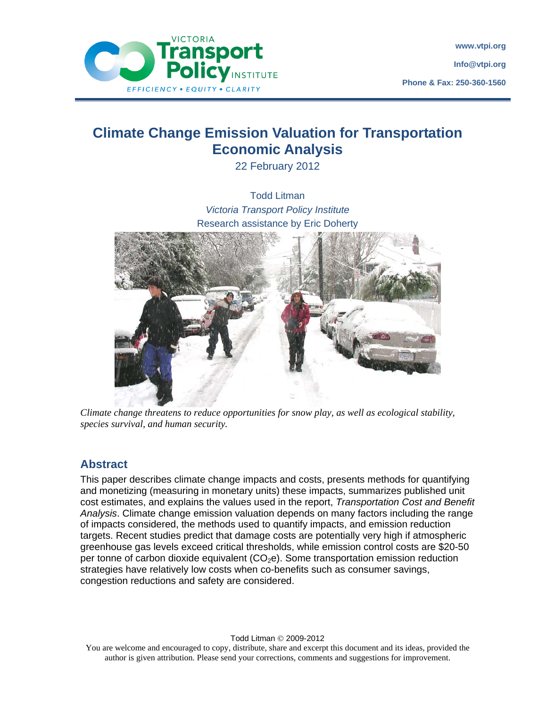

# **Climate Change Emission Valuation for Transportation Economic Analysis**

22 February 2012



*Climate change threatens to reduce opportunities for snow play, as well as ecological stability, species survival, and human security.* 

### **Abstract**

This paper describes climate change impacts and costs, presents methods for quantifying and monetizing (measuring in monetary units) these impacts, summarizes published unit cost estimates, and explains the values used in the report, *Transportation Cost and Benefit Analysis*. Climate change emission valuation depends on many factors including the range of impacts considered, the methods used to quantify impacts, and emission reduction targets. Recent studies predict that damage costs are potentially very high if atmospheric greenhouse gas levels exceed critical thresholds, while emission control costs are \$20-50 per tonne of carbon dioxide equivalent  $(CO<sub>2</sub>e)$ . Some transportation emission reduction strategies have relatively low costs when co-benefits such as consumer savings, congestion reductions and safety are considered.

Todd Litman © 2009-2012

You are welcome and encouraged to copy, distribute, share and excerpt this document and its ideas, provided the author is given attribution. Please send your corrections, comments and suggestions for improvement.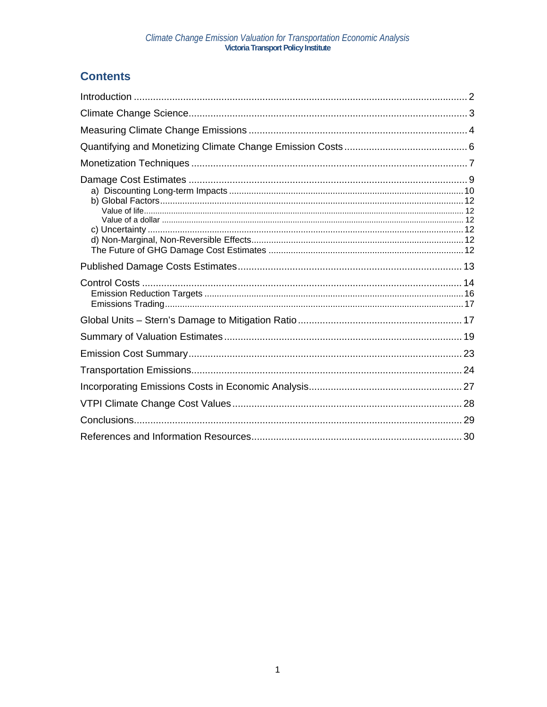## **Contents**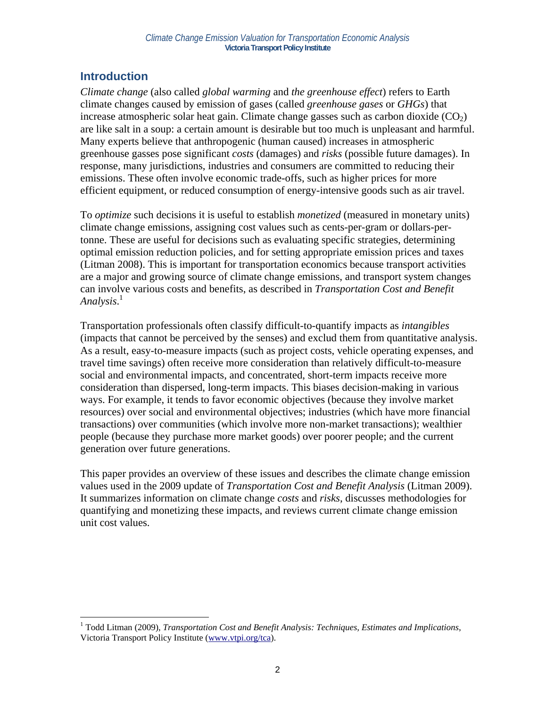### **Introduction**

*Climate change* (also called *global warming* and *the greenhouse effect*) refers to Earth climate changes caused by emission of gases (called *greenhouse gases* or *GHGs*) that increase atmospheric solar heat gain. Climate change gasses such as carbon dioxide  $(CO<sub>2</sub>)$ are like salt in a soup: a certain amount is desirable but too much is unpleasant and harmful. Many experts believe that anthropogenic (human caused) increases in atmospheric greenhouse gasses pose significant *costs* (damages) and *risks* (possible future damages). In response, many jurisdictions, industries and consumers are committed to reducing their emissions. These often involve economic trade-offs, such as higher prices for more efficient equipment, or reduced consumption of energy-intensive goods such as air travel.

To *optimize* such decisions it is useful to establish *monetized* (measured in monetary units) climate change emissions, assigning cost values such as cents-per-gram or dollars-pertonne. These are useful for decisions such as evaluating specific strategies, determining optimal emission reduction policies, and for setting appropriate emission prices and taxes (Litman 2008). This is important for transportation economics because transport activities are a major and growing source of climate change emissions, and transport system changes can involve various costs and benefits, as described in *Transportation Cost and Benefit Analysis*. 1

Transportation professionals often classify difficult-to-quantify impacts as *intangibles* (impacts that cannot be perceived by the senses) and exclud them from quantitative analysis. As a result, easy-to-measure impacts (such as project costs, vehicle operating expenses, and travel time savings) often receive more consideration than relatively difficult-to-measure social and environmental impacts, and concentrated, short-term impacts receive more consideration than dispersed, long-term impacts. This biases decision-making in various ways. For example, it tends to favor economic objectives (because they involve market resources) over social and environmental objectives; industries (which have more financial transactions) over communities (which involve more non-market transactions); wealthier people (because they purchase more market goods) over poorer people; and the current generation over future generations.

This paper provides an overview of these issues and describes the climate change emission values used in the 2009 update of *Transportation Cost and Benefit Analysis* (Litman 2009). It summarizes information on climate change *costs* and *risks*, discusses methodologies for quantifying and monetizing these impacts, and reviews current climate change emission unit cost values.

<sup>1</sup> <sup>1</sup> Todd Litman (2009), *Transportation Cost and Benefit Analysis: Techniques, Estimates and Implications,* Victoria Transport Policy Institute (www.vtpi.org/tca).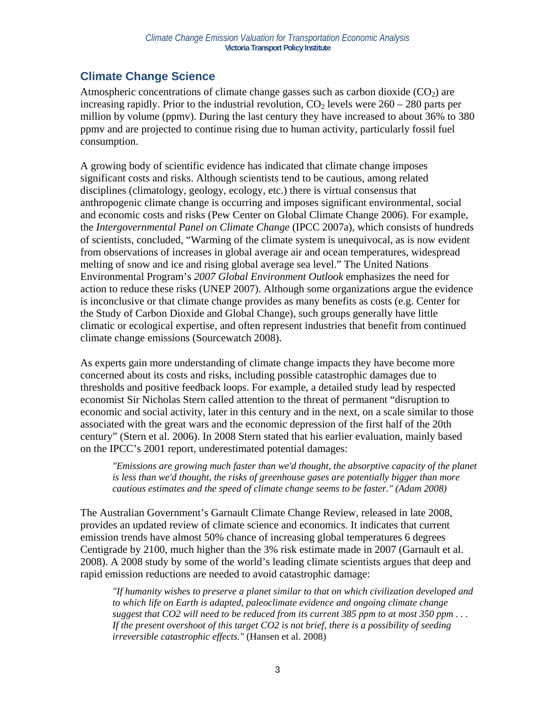## **Climate Change Science**

Atmospheric concentrations of climate change gasses such as carbon dioxide  $(CO<sub>2</sub>)$  are increasing rapidly. Prior to the industrial revolution,  $CO<sub>2</sub>$  levels were  $260 - 280$  parts per million by volume (ppmv). During the last century they have increased to about 36% to 380 ppmv and are projected to continue rising due to human activity, particularly fossil fuel consumption.

A growing body of scientific evidence has indicated that climate change imposes significant costs and risks. Although scientists tend to be cautious, among related disciplines (climatology, geology, ecology, etc.) there is virtual consensus that anthropogenic climate change is occurring and imposes significant environmental, social and economic costs and risks (Pew Center on Global Climate Change 2006). For example, the *Intergovernmental Panel on Climate Change* (IPCC 2007a), which consists of hundreds of scientists, concluded, "Warming of the climate system is unequivocal, as is now evident from observations of increases in global average air and ocean temperatures, widespread melting of snow and ice and rising global average sea level." The United Nations Environmental Program's *2007 Global Environment Outlook* emphasizes the need for action to reduce these risks (UNEP 2007). Although some organizations argue the evidence is inconclusive or that climate change provides as many benefits as costs (e.g. Center for the Study of Carbon Dioxide and Global Change), such groups generally have little climatic or ecological expertise, and often represent industries that benefit from continued climate change emissions (Sourcewatch 2008).

As experts gain more understanding of climate change impacts they have become more concerned about its costs and risks, including possible catastrophic damages due to thresholds and positive feedback loops. For example, a detailed study lead by respected economist Sir Nicholas Stern called attention to the threat of permanent "disruption to economic and social activity, later in this century and in the next, on a scale similar to those associated with the great wars and the economic depression of the first half of the 20th century" (Stern et al. 2006). In 2008 Stern stated that his earlier evaluation, mainly based on the IPCC's 2001 report, underestimated potential damages:

*"Emissions are growing much faster than we'd thought, the absorptive capacity of the planet is less than we'd thought, the risks of greenhouse gases are potentially bigger than more cautious estimates and the speed of climate change seems to be faster." (Adam 2008)* 

The Australian Government's Garnault Climate Change Review, released in late 2008, provides an updated review of climate science and economics. It indicates that current emission trends have almost 50% chance of increasing global temperatures 6 degrees Centigrade by 2100, much higher than the 3% risk estimate made in 2007 (Garnault et al. 2008). A 2008 study by some of the world's leading climate scientists argues that deep and rapid emission reductions are needed to avoid catastrophic damage:

*"If humanity wishes to preserve a planet similar to that on which civilization developed and to which life on Earth is adapted, paleoclimate evidence and ongoing climate change suggest that CO2 will need to be reduced from its current 385 ppm to at most 350 ppm . . . If the present overshoot of this target CO2 is not brief, there is a possibility of seeding irreversible catastrophic effects."* (Hansen et al. 2008)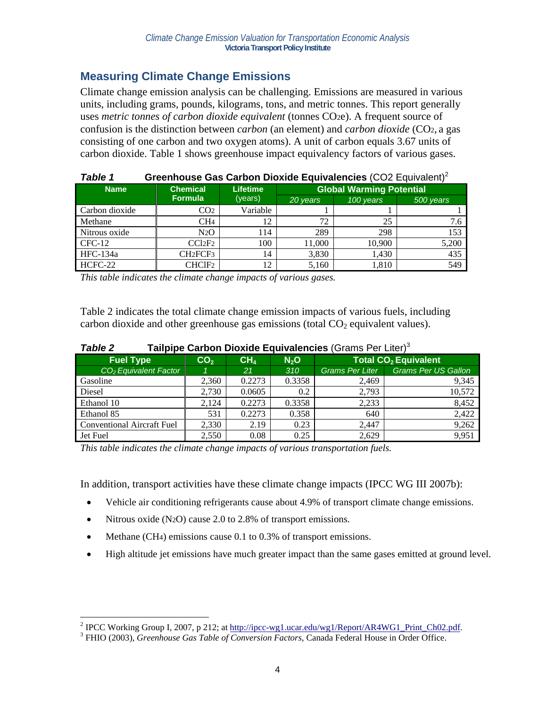### **Measuring Climate Change Emissions**

Climate change emission analysis can be challenging. Emissions are measured in various units, including grams, pounds, kilograms, tons, and metric tonnes. This report generally uses *metric tonnes of carbon dioxide equivalent* (tonnes CO2e). A frequent source of confusion is the distinction between *carbon* (an element) and *carbon dioxide* (CO2, a gas consisting of one carbon and two oxygen atoms). A unit of carbon equals 3.67 units of carbon dioxide. Table 1 shows greenhouse impact equivalency factors of various gases.

| Table 1        | Greenhouse Gas Carbon Dioxide Equivalencies (CO2 Equivalent) <sup>2</sup> |                 |          |                                 |           |  |  |
|----------------|---------------------------------------------------------------------------|-----------------|----------|---------------------------------|-----------|--|--|
| <b>Name</b>    | <b>Chemical</b>                                                           | <b>Lifetime</b> |          | <b>Global Warming Potential</b> |           |  |  |
|                | <b>Formula</b>                                                            | (years)         | 20 years | 100 years                       | 500 years |  |  |
| Carbon dioxide | CO <sub>2</sub>                                                           | Variable        |          |                                 |           |  |  |
| Methane        | CH <sub>4</sub>                                                           | 12              | 72       | 25                              | 7.6       |  |  |
| Nitrous oxide  | N <sub>2</sub> O                                                          | 114             | 289      | 298                             | 153       |  |  |
| $CFC-12$       | CC12F2                                                                    | 100             | 11.000   | 10.900                          | 5,200     |  |  |
| HFC-134a       | CH <sub>2</sub> FCF <sub>3</sub>                                          | 14              | 3,830    | 1,430                           | 435       |  |  |
| HCFC-22        | CHClF2                                                                    | 12              | 5,160    | 1,810                           | 549       |  |  |

*This table indicates the climate change impacts of various gases.* 

Table 2 indicates the total climate change emission impacts of various fuels, including carbon dioxide and other greenhouse gas emissions (total  $CO<sub>2</sub>$  equivalent values).

| <b>Table 2</b>   |                 |       |     | Tailpipe Carbon Dioxide Equivalencies (Grams Per Liter) $3$ |
|------------------|-----------------|-------|-----|-------------------------------------------------------------|
| <b>Fuel Type</b> | CO <sub>2</sub> | 7 CH. | N-O | <b>Total CO<sub>2</sub></b> Equivale                        |

| <b>Fuel Type</b>                  | CO <sub>2</sub> | CH <sub>4</sub> | N <sub>2</sub> O | <b>Total CO<sub>2</sub></b> Equivalent |                            |  |
|-----------------------------------|-----------------|-----------------|------------------|----------------------------------------|----------------------------|--|
| CO <sub>2</sub> Equivalent Factor |                 | 21              | 310              | Grams Per Liter                        | <b>Grams Per US Gallon</b> |  |
| Gasoline                          | 2.360           | 0.2273          | 0.3358           | 2,469                                  | 9,345                      |  |
| Diesel                            | 2.730           | 0.0605          | 0.2              | 2.793                                  | 10,572                     |  |
| Ethanol 10                        | 2.124           | 0.2273          | 0.3358           | 2,233                                  | 8,452                      |  |
| Ethanol 85                        | 531             | 0.2273          | 0.358            | 640                                    | 2,422                      |  |
| <b>Conventional Aircraft Fuel</b> | 2,330           | 2.19            | 0.23             | 2,447                                  | 9,262                      |  |
| Jet Fuel                          | 2.550           | 0.08            | 0.25             | 2,629                                  | 9.951                      |  |

*This table indicates the climate change impacts of various transportation fuels.* 

In addition, transport activities have these climate change impacts (IPCC WG III 2007b):

- Vehicle air conditioning refrigerants cause about 4.9% of transport climate change emissions.
- Nitrous oxide (N<sub>2</sub>O) cause 2.0 to 2.8% of transport emissions.
- Methane (CH4) emissions cause 0.1 to 0.3% of transport emissions.
- High altitude jet emissions have much greater impact than the same gases emitted at ground level.

<sup>&</sup>lt;sup>2</sup> IPCC Working Group I, 2007, p 212; at http://ipcc-wg1.ucar.edu/wg1/Report/AR4WG1\_Print\_Ch02.pdf.<br><sup>3</sup> EUIO (2003), *Creaphouse Cas Table of Convenion, Easters*, Conede Eederal House in Order Office.

FHIO (2003), *Greenhouse Gas Table of Conversion Factors*, Canada Federal House in Order Office.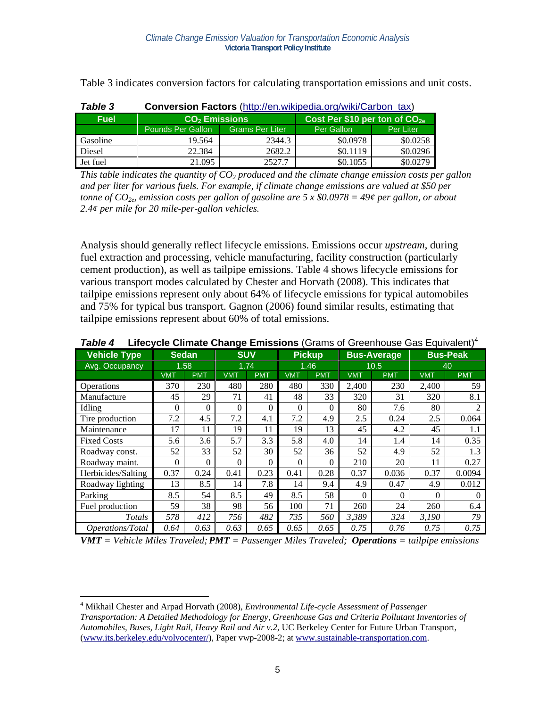|        | Table 3 indicates conversion factors for calculating transportation emissions and unit costs. |
|--------|-----------------------------------------------------------------------------------------------|
| エっトレック | Conversion Easters (http://on.wikipedia.org/wiki/Carbon.tax)                                  |

| i anie s    | <b>CONVEISION FACTOLS</b> (Http://en.wikipedia.org/wiki/Calboll_tax) |                        |                                           |           |  |  |  |
|-------------|----------------------------------------------------------------------|------------------------|-------------------------------------------|-----------|--|--|--|
| <b>Fuel</b> | CO <sub>2</sub> Emissions                                            |                        | Cost Per \$10 per ton of CO <sub>2e</sub> |           |  |  |  |
|             | Pounds Per Gallon                                                    | <b>Grams Per Liter</b> | Per Gallon                                | Per Liter |  |  |  |
| Gasoline    | 19.564                                                               | 2344.3                 | \$0.0978                                  | \$0.0258  |  |  |  |
| Diesel      | 22.384                                                               | 2682.2                 | \$0.1119                                  | \$0.0296  |  |  |  |
| Jet fuel    | 21.095                                                               | 2527.7                 | \$0.1055                                  | \$0.0279  |  |  |  |

*This table indicates the quantity of*  $CO<sub>2</sub>$  *produced and the climate change emission costs per gallon and per liter for various fuels. For example, if climate change emissions are valued at \$50 per tonne of CO2e, emission costs per gallon of gasoline are 5 x \$0.0978 = 49¢ per gallon, or about 2.4¢ per mile for 20 mile-per-gallon vehicles.* 

Analysis should generally reflect lifecycle emissions. Emissions occur *upstream*, during fuel extraction and processing, vehicle manufacturing, facility construction (particularly cement production), as well as tailpipe emissions. Table 4 shows lifecycle emissions for various transport modes calculated by Chester and Horvath (2008). This indicates that tailpipe emissions represent only about 64% of lifecycle emissions for typical automobiles and 75% for typical bus transport. Gagnon (2006) found similar results, estimating that tailpipe emissions represent about 60% of total emissions.

| <b>Vehicle Type</b> | <b>Sedan</b>   |            | -<br><b>SUV</b> |            |            | <b>Pickup</b> |            | <b>Bus-Average</b> |            | <b>Bus-Peak</b> |
|---------------------|----------------|------------|-----------------|------------|------------|---------------|------------|--------------------|------------|-----------------|
| Avg. Occupancy      | 1.58           |            | 1.74            |            |            | 1.46          |            | 10.5               |            | 40              |
|                     | <b>VMT</b>     | <b>PMT</b> | <b>VMT</b>      | <b>PMT</b> | <b>VMT</b> | <b>PMT</b>    | <b>VMT</b> | <b>PMT</b>         | <b>VMT</b> | <b>PMT</b>      |
| Operations          | 370            | 230        | 480             | 280        | 480        | 330           | 2,400      | 230                | 2,400      | 59              |
| Manufacture         | 45             | 29         | 71              | 41         | 48         | 33            | 320        | 31                 | 320        | 8.1             |
| Idling              | $\overline{0}$ | 0          | $\Omega$        | $\theta$   | $\Omega$   | $\Omega$      | 80         | 7.6                | 80         | $\overline{2}$  |
| Tire production     | 7.2            | 4.5        | 7.2             | 4.1        | 7.2        | 4.9           | 2.5        | 0.24               | 2.5        | 0.064           |
| Maintenance         | 17             | 11         | 19              | 11         | 19         | 13            | 45         | 4.2                | 45         | 1.1             |
| <b>Fixed Costs</b>  | 5.6            | 3.6        | 5.7             | 3.3        | 5.8        | 4.0           | 14         | 1.4                | 14         | 0.35            |
| Roadway const.      | 52             | 33         | 52              | 30         | 52         | 36            | 52         | 4.9                | 52         | 1.3             |
| Roadway maint.      | $\theta$       | 0          | $\Omega$        | $\theta$   | $\Omega$   | $\theta$      | 210        | 20                 | 11         | 0.27            |
| Herbicides/Salting  | 0.37           | 0.24       | 0.41            | 0.23       | 0.41       | 0.28          | 0.37       | 0.036              | 0.37       | 0.0094          |
| Roadway lighting    | 13             | 8.5        | 14              | 7.8        | 14         | 9.4           | 4.9        | 0.47               | 4.9        | 0.012           |
| Parking             | 8.5            | 54         | 8.5             | 49         | 8.5        | 58            | $\theta$   | $\Omega$           | $\Omega$   | 0               |
| Fuel production     | 59             | 38         | 98              | 56         | 100        | 71            | 260        | 24                 | 260        | 6.4             |
| Totals              | 578            | 412        | 756             | 482        | 735        | 560           | 3,389      | 324                | 3,190      | 79              |
| Operations/Total    | 0.64           | 0.63       | 0.63            | 0.65       | 0.65       | 0.65          | 0.75       | 0.76               | 0.75       | 0.75            |

**Table 4 Lifecycle Climate Change Emissions** (Grams of Greenhouse Gas Equivalent)<sup>4</sup>

*VMT = Vehicle Miles Traveled; PMT = Passenger Miles Traveled; Operations = tailpipe emissions* 

 $\overline{a}$ 4 Mikhail Chester and Arpad Horvath (2008), *Environmental Life-cycle Assessment of Passenger Transportation: A Detailed Methodology for Energy, Greenhouse Gas and Criteria Pollutant Inventories of Automobiles, Buses, Light Rail, Heavy Rail and Air v.2*, UC Berkeley Center for Future Urban Transport, (www.its.berkeley.edu/volvocenter/), Paper vwp-2008-2; at www.sustainable-transportation.com.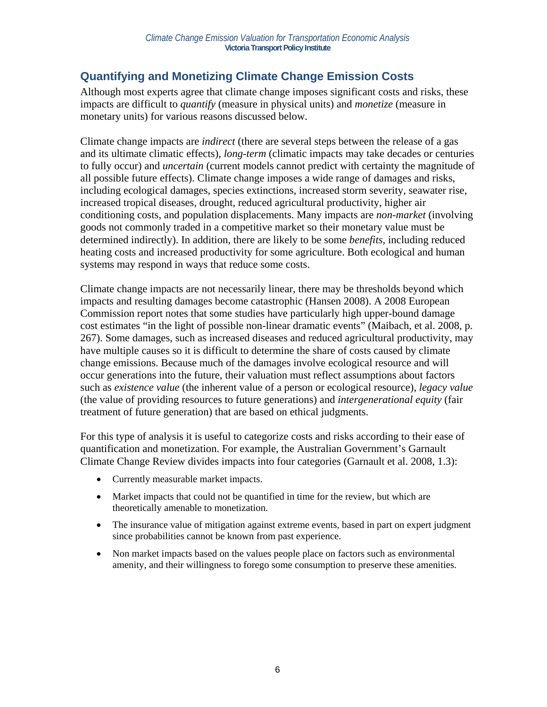## **Quantifying and Monetizing Climate Change Emission Costs**

Although most experts agree that climate change imposes significant costs and risks, these impacts are difficult to *quantify* (measure in physical units) and *monetize* (measure in monetary units) for various reasons discussed below.

Climate change impacts are *indirect* (there are several steps between the release of a gas and its ultimate climatic effects), *long-term* (climatic impacts may take decades or centuries to fully occur) and *uncertain* (current models cannot predict with certainty the magnitude of all possible future effects). Climate change imposes a wide range of damages and risks, including ecological damages, species extinctions, increased storm severity, seawater rise, increased tropical diseases, drought, reduced agricultural productivity, higher air conditioning costs, and population displacements. Many impacts are *non-market* (involving goods not commonly traded in a competitive market so their monetary value must be determined indirectly). In addition, there are likely to be some *benefits*, including reduced heating costs and increased productivity for some agriculture. Both ecological and human systems may respond in ways that reduce some costs.

Climate change impacts are not necessarily linear, there may be thresholds beyond which impacts and resulting damages become catastrophic (Hansen 2008). A 2008 European Commission report notes that some studies have particularly high upper-bound damage cost estimates "in the light of possible non-linear dramatic events" (Maibach, et al. 2008, p. 267). Some damages, such as increased diseases and reduced agricultural productivity, may have multiple causes so it is difficult to determine the share of costs caused by climate change emissions. Because much of the damages involve ecological resource and will occur generations into the future, their valuation must reflect assumptions about factors such as *existence value* (the inherent value of a person or ecological resource), *legacy value* (the value of providing resources to future generations) and *intergenerational equity* (fair treatment of future generation) that are based on ethical judgments.

For this type of analysis it is useful to categorize costs and risks according to their ease of quantification and monetization. For example, the Australian Government's Garnault Climate Change Review divides impacts into four categories (Garnault et al. 2008, 1.3):

- Currently measurable market impacts.
- Market impacts that could not be quantified in time for the review, but which are theoretically amenable to monetization.
- The insurance value of mitigation against extreme events, based in part on expert judgment since probabilities cannot be known from past experience.
- Non market impacts based on the values people place on factors such as environmental amenity, and their willingness to forego some consumption to preserve these amenities.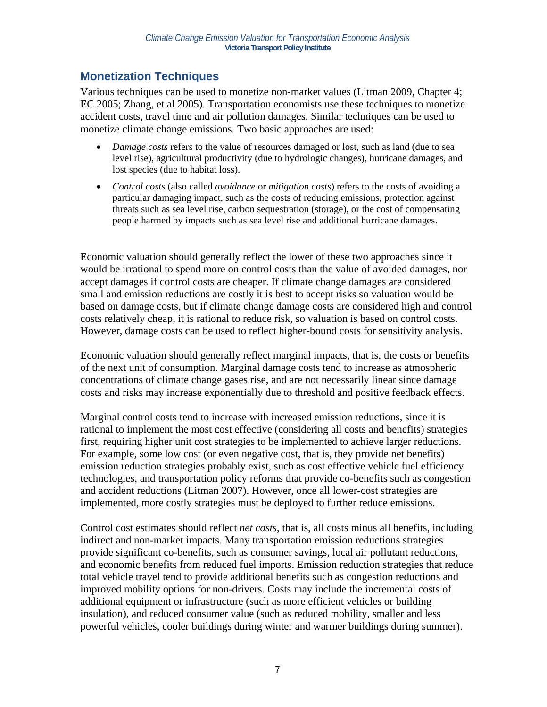### **Monetization Techniques**

Various techniques can be used to monetize non-market values (Litman 2009, Chapter 4; EC 2005; Zhang, et al 2005). Transportation economists use these techniques to monetize accident costs, travel time and air pollution damages. Similar techniques can be used to monetize climate change emissions. Two basic approaches are used:

- *Damage costs* refers to the value of resources damaged or lost, such as land (due to sea level rise), agricultural productivity (due to hydrologic changes), hurricane damages, and lost species (due to habitat loss).
- *Control costs* (also called *avoidance* or *mitigation costs*) refers to the costs of avoiding a particular damaging impact, such as the costs of reducing emissions, protection against threats such as sea level rise, carbon sequestration (storage), or the cost of compensating people harmed by impacts such as sea level rise and additional hurricane damages.

Economic valuation should generally reflect the lower of these two approaches since it would be irrational to spend more on control costs than the value of avoided damages, nor accept damages if control costs are cheaper. If climate change damages are considered small and emission reductions are costly it is best to accept risks so valuation would be based on damage costs, but if climate change damage costs are considered high and control costs relatively cheap, it is rational to reduce risk, so valuation is based on control costs. However, damage costs can be used to reflect higher-bound costs for sensitivity analysis.

Economic valuation should generally reflect marginal impacts, that is, the costs or benefits of the next unit of consumption. Marginal damage costs tend to increase as atmospheric concentrations of climate change gases rise, and are not necessarily linear since damage costs and risks may increase exponentially due to threshold and positive feedback effects.

Marginal control costs tend to increase with increased emission reductions, since it is rational to implement the most cost effective (considering all costs and benefits) strategies first, requiring higher unit cost strategies to be implemented to achieve larger reductions. For example, some low cost (or even negative cost, that is, they provide net benefits) emission reduction strategies probably exist, such as cost effective vehicle fuel efficiency technologies, and transportation policy reforms that provide co-benefits such as congestion and accident reductions (Litman 2007). However, once all lower-cost strategies are implemented, more costly strategies must be deployed to further reduce emissions.

Control cost estimates should reflect *net costs*, that is, all costs minus all benefits, including indirect and non-market impacts. Many transportation emission reductions strategies provide significant co-benefits, such as consumer savings, local air pollutant reductions, and economic benefits from reduced fuel imports. Emission reduction strategies that reduce total vehicle travel tend to provide additional benefits such as congestion reductions and improved mobility options for non-drivers. Costs may include the incremental costs of additional equipment or infrastructure (such as more efficient vehicles or building insulation), and reduced consumer value (such as reduced mobility, smaller and less powerful vehicles, cooler buildings during winter and warmer buildings during summer).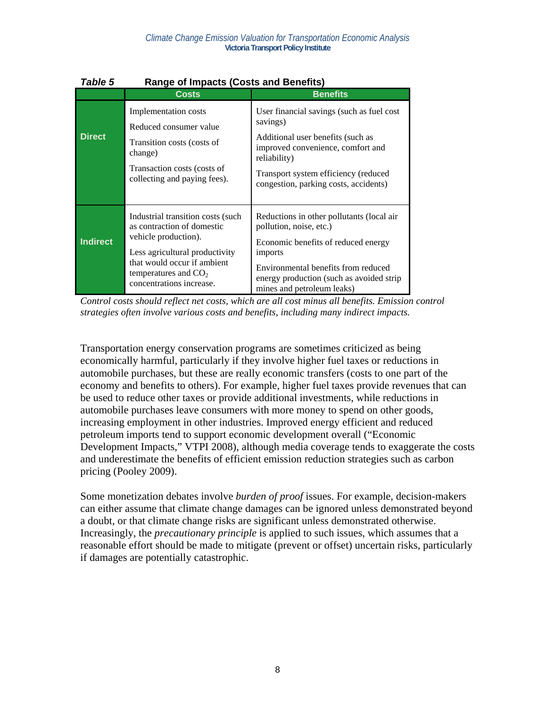| Table 5         | Range of Impacts (Costs and Benefits)                                                                                                                                                                           |                                                                                                                                                                                                                                         |  |  |  |  |  |
|-----------------|-----------------------------------------------------------------------------------------------------------------------------------------------------------------------------------------------------------------|-----------------------------------------------------------------------------------------------------------------------------------------------------------------------------------------------------------------------------------------|--|--|--|--|--|
|                 | <b>Costs</b>                                                                                                                                                                                                    | <b>Benefits</b>                                                                                                                                                                                                                         |  |  |  |  |  |
| <b>Direct</b>   | Implementation costs<br>Reduced consumer value<br>Transition costs (costs of<br>change)<br>Transaction costs (costs of<br>collecting and paying fees).                                                          | User financial savings (such as fuel cost<br>savings)<br>Additional user benefits (such as<br>improved convenience, comfort and<br>reliability)<br>Transport system efficiency (reduced<br>congestion, parking costs, accidents)        |  |  |  |  |  |
| <b>Indirect</b> | Industrial transition costs (such)<br>as contraction of domestic<br>vehicle production).<br>Less agricultural productivity<br>that would occur if ambient<br>temperatures and $CO2$<br>concentrations increase. | Reductions in other pollutants (local air<br>pollution, noise, etc.)<br>Economic benefits of reduced energy<br>imports<br>Environmental benefits from reduced<br>energy production (such as avoided strip<br>mines and petroleum leaks) |  |  |  |  |  |

### *Table 5* **Range of Impacts (Costs and Benefits)**

*Control costs should reflect net costs, which are all cost minus all benefits. Emission control strategies often involve various costs and benefits, including many indirect impacts.* 

Transportation energy conservation programs are sometimes criticized as being economically harmful, particularly if they involve higher fuel taxes or reductions in automobile purchases, but these are really economic transfers (costs to one part of the economy and benefits to others). For example, higher fuel taxes provide revenues that can be used to reduce other taxes or provide additional investments, while reductions in automobile purchases leave consumers with more money to spend on other goods, increasing employment in other industries. Improved energy efficient and reduced petroleum imports tend to support economic development overall ("Economic Development Impacts," VTPI 2008), although media coverage tends to exaggerate the costs and underestimate the benefits of efficient emission reduction strategies such as carbon pricing (Pooley 2009).

Some monetization debates involve *burden of proof* issues. For example, decision-makers can either assume that climate change damages can be ignored unless demonstrated beyond a doubt, or that climate change risks are significant unless demonstrated otherwise. Increasingly, the *precautionary principle* is applied to such issues, which assumes that a reasonable effort should be made to mitigate (prevent or offset) uncertain risks, particularly if damages are potentially catastrophic.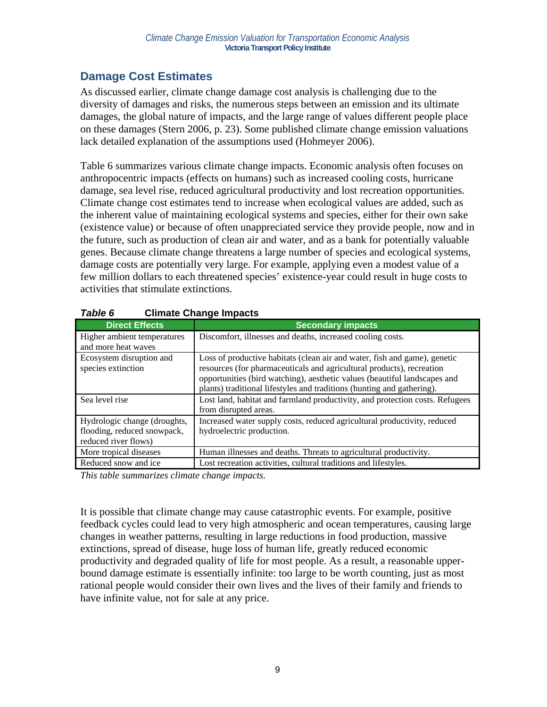## **Damage Cost Estimates**

As discussed earlier, climate change damage cost analysis is challenging due to the diversity of damages and risks, the numerous steps between an emission and its ultimate damages, the global nature of impacts, and the large range of values different people place on these damages (Stern 2006, p. 23). Some published climate change emission valuations lack detailed explanation of the assumptions used (Hohmeyer 2006).

Table 6 summarizes various climate change impacts. Economic analysis often focuses on anthropocentric impacts (effects on humans) such as increased cooling costs, hurricane damage, sea level rise, reduced agricultural productivity and lost recreation opportunities. Climate change cost estimates tend to increase when ecological values are added, such as the inherent value of maintaining ecological systems and species, either for their own sake (existence value) or because of often unappreciated service they provide people, now and in the future, such as production of clean air and water, and as a bank for potentially valuable genes. Because climate change threatens a large number of species and ecological systems, damage costs are potentially very large. For example, applying even a modest value of a few million dollars to each threatened species' existence-year could result in huge costs to activities that stimulate extinctions.

| <b>Direct Effects</b>                              | <b>Secondary impacts</b>                                                     |
|----------------------------------------------------|------------------------------------------------------------------------------|
| Higher ambient temperatures<br>and more heat waves | Discomfort, illnesses and deaths, increased cooling costs.                   |
|                                                    |                                                                              |
| Ecosystem disruption and                           | Loss of productive habitats (clean air and water, fish and game), genetic    |
| species extinction                                 | resources (for pharmaceuticals and agricultural products), recreation        |
|                                                    | opportunities (bird watching), aesthetic values (beautiful landscapes and    |
|                                                    | plants) traditional lifestyles and traditions (hunting and gathering).       |
| Sea level rise                                     | Lost land, habitat and farmland productivity, and protection costs. Refugees |
|                                                    | from disrupted areas.                                                        |
| Hydrologic change (droughts,                       | Increased water supply costs, reduced agricultural productivity, reduced     |
| flooding, reduced snowpack,                        | hydroelectric production.                                                    |
| reduced river flows)                               |                                                                              |
| More tropical diseases                             | Human illnesses and deaths. Threats to agricultural productivity.            |
| Reduced snow and ice                               | Lost recreation activities, cultural traditions and lifestyles.              |

*Table 6* **Climate Change Impacts**

*This table summarizes climate change impacts.* 

It is possible that climate change may cause catastrophic events. For example, positive feedback cycles could lead to very high atmospheric and ocean temperatures, causing large changes in weather patterns, resulting in large reductions in food production, massive extinctions, spread of disease, huge loss of human life, greatly reduced economic productivity and degraded quality of life for most people. As a result, a reasonable upperbound damage estimate is essentially infinite: too large to be worth counting, just as most rational people would consider their own lives and the lives of their family and friends to have infinite value, not for sale at any price.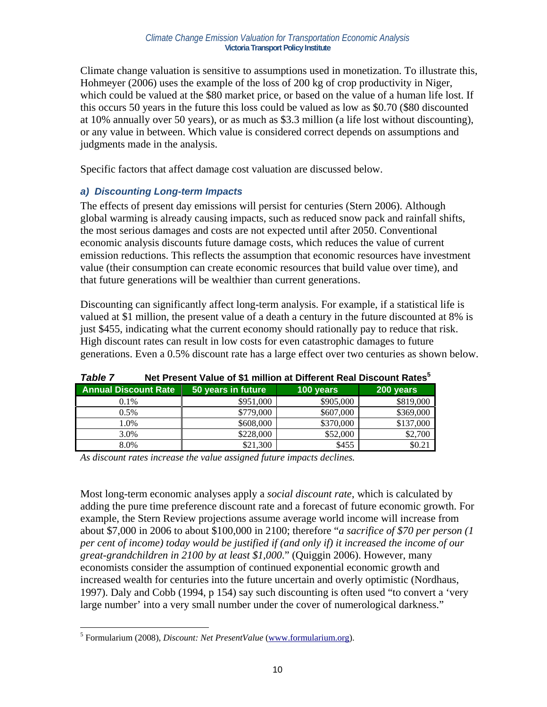Climate change valuation is sensitive to assumptions used in monetization. To illustrate this, Hohmeyer (2006) uses the example of the loss of 200 kg of crop productivity in Niger, which could be valued at the \$80 market price, or based on the value of a human life lost. If this occurs 50 years in the future this loss could be valued as low as \$0.70 (\$80 discounted at 10% annually over 50 years), or as much as \$3.3 million (a life lost without discounting), or any value in between. Which value is considered correct depends on assumptions and judgments made in the analysis.

Specific factors that affect damage cost valuation are discussed below.

### *a) Discounting Long-term Impacts*

The effects of present day emissions will persist for centuries (Stern 2006). Although global warming is already causing impacts, such as reduced snow pack and rainfall shifts, the most serious damages and costs are not expected until after 2050. Conventional economic analysis discounts future damage costs, which reduces the value of current emission reductions. This reflects the assumption that economic resources have investment value (their consumption can create economic resources that build value over time), and that future generations will be wealthier than current generations.

Discounting can significantly affect long-term analysis. For example, if a statistical life is valued at \$1 million, the present value of a death a century in the future discounted at 8% is just \$455, indicating what the current economy should rationally pay to reduce that risk. High discount rates can result in low costs for even catastrophic damages to future generations. Even a 0.5% discount rate has a large effect over two centuries as shown below.

| .                           |                    |           |                            |  |  |  |  |
|-----------------------------|--------------------|-----------|----------------------------|--|--|--|--|
| <b>Annual Discount Rate</b> | 50 years in future | 100 years | $\sqrt{200 \text{ years}}$ |  |  |  |  |
| $0.1\%$                     | \$951,000          | \$905,000 | \$819,000                  |  |  |  |  |
| $0.5\%$                     | \$779,000          | \$607,000 | \$369,000                  |  |  |  |  |
| 1.0%                        | \$608,000          | \$370,000 | \$137,000                  |  |  |  |  |
| 3.0%                        | \$228,000          | \$52,000  | \$2,700                    |  |  |  |  |
| 8.0%                        | \$21,300           | \$455     | \$0.21                     |  |  |  |  |

*Table 7* **Net Present Value of \$1 million at Different Real Discount Rates5**

*As discount rates increase the value assigned future impacts declines.* 

Most long-term economic analyses apply a *social discount rate*, which is calculated by adding the pure time preference discount rate and a forecast of future economic growth. For example, the Stern Review projections assume average world income will increase from about \$7,000 in 2006 to about \$100,000 in 2100; therefore "*a sacrifice of \$70 per person (1 per cent of income) today would be justified if (and only if) it increased the income of our great-grandchildren in 2100 by at least \$1,000*." (Quiggin 2006). However, many economists consider the assumption of continued exponential economic growth and increased wealth for centuries into the future uncertain and overly optimistic (Nordhaus, 1997). Daly and Cobb (1994, p 154) say such discounting is often used "to convert a 'very large number' into a very small number under the cover of numerological darkness."

 $\overline{a}$ 5 Formularium (2008), *Discount: Net PresentValue* (www.formularium.org).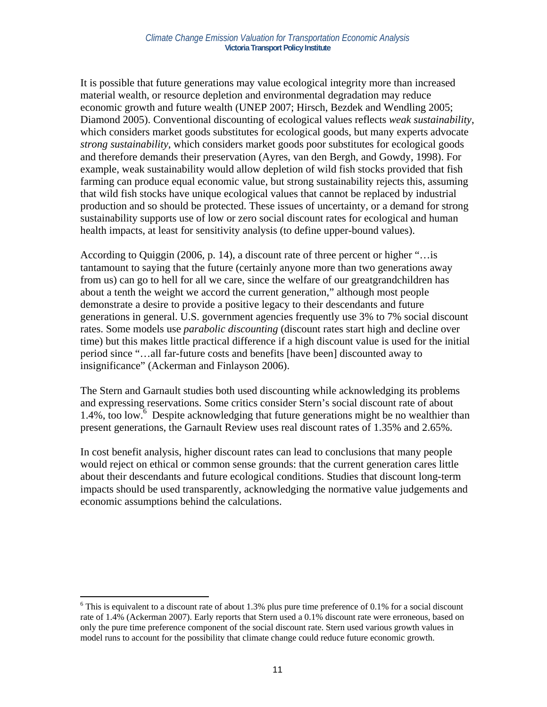It is possible that future generations may value ecological integrity more than increased material wealth, or resource depletion and environmental degradation may reduce economic growth and future wealth (UNEP 2007; Hirsch, Bezdek and Wendling 2005; Diamond 2005). Conventional discounting of ecological values reflects *weak sustainability*, which considers market goods substitutes for ecological goods, but many experts advocate *strong sustainability*, which considers market goods poor substitutes for ecological goods and therefore demands their preservation (Ayres, van den Bergh, and Gowdy, 1998). For example, weak sustainability would allow depletion of wild fish stocks provided that fish farming can produce equal economic value, but strong sustainability rejects this, assuming that wild fish stocks have unique ecological values that cannot be replaced by industrial production and so should be protected. These issues of uncertainty, or a demand for strong sustainability supports use of low or zero social discount rates for ecological and human health impacts, at least for sensitivity analysis (to define upper-bound values).

According to Quiggin (2006, p. 14), a discount rate of three percent or higher "…is tantamount to saying that the future (certainly anyone more than two generations away from us) can go to hell for all we care, since the welfare of our greatgrandchildren has about a tenth the weight we accord the current generation," although most people demonstrate a desire to provide a positive legacy to their descendants and future generations in general. U.S. government agencies frequently use 3% to 7% social discount rates. Some models use *parabolic discounting* (discount rates start high and decline over time) but this makes little practical difference if a high discount value is used for the initial period since "…all far-future costs and benefits [have been] discounted away to insignificance" (Ackerman and Finlayson 2006).

The Stern and Garnault studies both used discounting while acknowledging its problems and expressing reservations. Some critics consider Stern's social discount rate of about  $1.4\%$ , too low. $\frac{6}{5}$  Despite acknowledging that future generations might be no wealthier than present generations, the Garnault Review uses real discount rates of 1.35% and 2.65%.

In cost benefit analysis, higher discount rates can lead to conclusions that many people would reject on ethical or common sense grounds: that the current generation cares little about their descendants and future ecological conditions. Studies that discount long-term impacts should be used transparently, acknowledging the normative value judgements and economic assumptions behind the calculations.

 $\overline{a}$ 

 $6$  This is equivalent to a discount rate of about 1.3% plus pure time preference of 0.1% for a social discount rate of 1.4% (Ackerman 2007). Early reports that Stern used a 0.1% discount rate were erroneous, based on only the pure time preference component of the social discount rate. Stern used various growth values in model runs to account for the possibility that climate change could reduce future economic growth.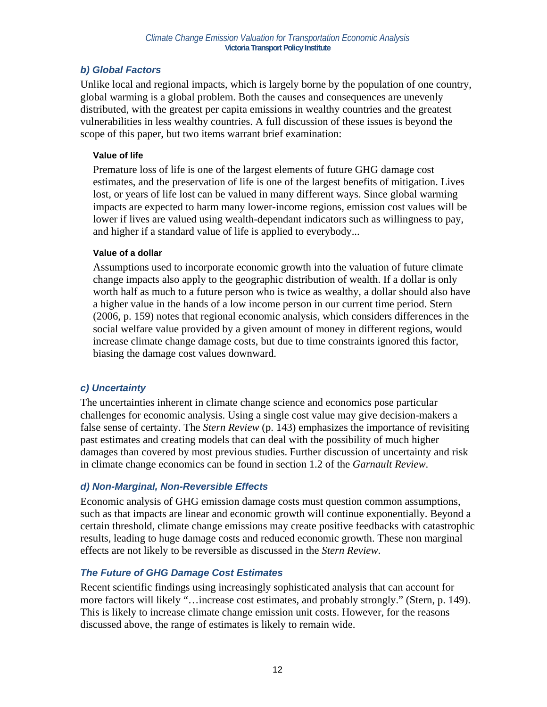### *b) Global Factors*

Unlike local and regional impacts, which is largely borne by the population of one country, global warming is a global problem. Both the causes and consequences are unevenly distributed, with the greatest per capita emissions in wealthy countries and the greatest vulnerabilities in less wealthy countries. A full discussion of these issues is beyond the scope of this paper, but two items warrant brief examination:

#### **Value of life**

Premature loss of life is one of the largest elements of future GHG damage cost estimates, and the preservation of life is one of the largest benefits of mitigation. Lives lost, or years of life lost can be valued in many different ways. Since global warming impacts are expected to harm many lower-income regions, emission cost values will be lower if lives are valued using wealth-dependant indicators such as willingness to pay, and higher if a standard value of life is applied to everybody...

#### **Value of a dollar**

Assumptions used to incorporate economic growth into the valuation of future climate change impacts also apply to the geographic distribution of wealth. If a dollar is only worth half as much to a future person who is twice as wealthy, a dollar should also have a higher value in the hands of a low income person in our current time period. Stern (2006, p. 159) notes that regional economic analysis, which considers differences in the social welfare value provided by a given amount of money in different regions, would increase climate change damage costs, but due to time constraints ignored this factor, biasing the damage cost values downward.

### *c) Uncertainty*

The uncertainties inherent in climate change science and economics pose particular challenges for economic analysis. Using a single cost value may give decision-makers a false sense of certainty. The *Stern Review* (p. 143) emphasizes the importance of revisiting past estimates and creating models that can deal with the possibility of much higher damages than covered by most previous studies. Further discussion of uncertainty and risk in climate change economics can be found in section 1.2 of the *Garnault Review*.

### *d) Non-Marginal, Non-Reversible Effects*

Economic analysis of GHG emission damage costs must question common assumptions, such as that impacts are linear and economic growth will continue exponentially. Beyond a certain threshold, climate change emissions may create positive feedbacks with catastrophic results, leading to huge damage costs and reduced economic growth. These non marginal effects are not likely to be reversible as discussed in the *Stern Review*.

### *The Future of GHG Damage Cost Estimates*

Recent scientific findings using increasingly sophisticated analysis that can account for more factors will likely "…increase cost estimates, and probably strongly." (Stern, p. 149). This is likely to increase climate change emission unit costs. However, for the reasons discussed above, the range of estimates is likely to remain wide.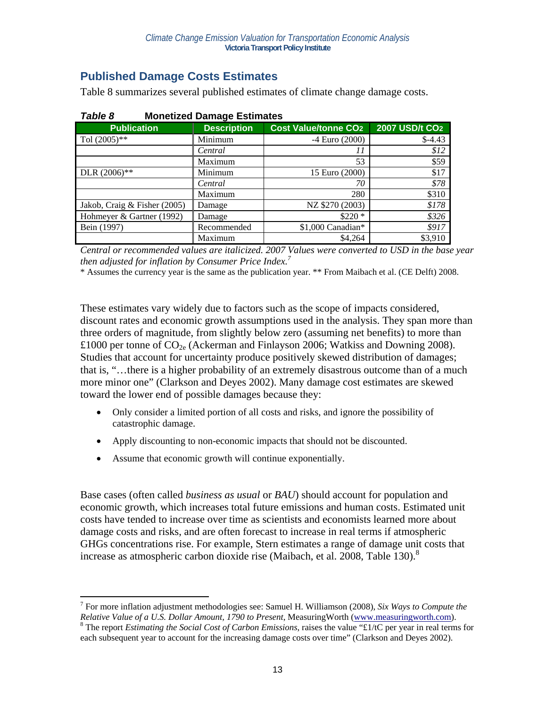## **Published Damage Costs Estimates**

Table 8 summarizes several published estimates of climate change damage costs.

| <b>Publication</b>           | <b>Description</b> | <b>Cost Value/tonne CO2</b> | 2007 USD/t CO <sub>2</sub> |  |  |  |  |
|------------------------------|--------------------|-----------------------------|----------------------------|--|--|--|--|
| Tol $(2005)$ **              | Minimum            | $-4$ Euro $(2000)$          | $$-4.43$                   |  |  |  |  |
|                              | Central            | 11                          | \$12                       |  |  |  |  |
|                              | Maximum            | 53                          | \$59                       |  |  |  |  |
| DLR $(2006)$ **              | Minimum            | 15 Euro (2000)              | \$17                       |  |  |  |  |
|                              | Central            | 70                          | \$78                       |  |  |  |  |
|                              | Maximum            | 280                         | \$310                      |  |  |  |  |
| Jakob, Craig & Fisher (2005) | Damage             | NZ \$270 (2003)             | \$178                      |  |  |  |  |
| Hohmeyer & Gartner (1992)    | Damage             | $$220*$                     | \$326                      |  |  |  |  |
| Bein (1997)                  | Recommended        | \$1,000 Canadian*           | \$917                      |  |  |  |  |
|                              | Maximum            | \$4,264                     | \$3,910                    |  |  |  |  |

#### *Table 8* **Monetized Damage Estimates**

*Central or recommended values are italicized. 2007 Values were converted to USD in the base year then adjusted for inflation by Consumer Price Index.<sup>7</sup>*

\* Assumes the currency year is the same as the publication year. \*\* From Maibach et al. (CE Delft) 2008.

These estimates vary widely due to factors such as the scope of impacts considered, discount rates and economic growth assumptions used in the analysis. They span more than three orders of magnitude, from slightly below zero (assuming net benefits) to more than £1000 per tonne of  $CO_{2e}$  (Ackerman and Finlayson 2006; Watkiss and Downing 2008). Studies that account for uncertainty produce positively skewed distribution of damages; that is, "…there is a higher probability of an extremely disastrous outcome than of a much more minor one" (Clarkson and Deyes 2002). Many damage cost estimates are skewed toward the lower end of possible damages because they:

- Only consider a limited portion of all costs and risks, and ignore the possibility of catastrophic damage.
- Apply discounting to non-economic impacts that should not be discounted.
- Assume that economic growth will continue exponentially.

 $\overline{a}$ 

Base cases (often called *business as usual* or *BAU*) should account for population and economic growth, which increases total future emissions and human costs. Estimated unit costs have tended to increase over time as scientists and economists learned more about damage costs and risks, and are often forecast to increase in real terms if atmospheric GHGs concentrations rise. For example, Stern estimates a range of damage unit costs that increase as atmospheric carbon dioxide rise (Maibach, et al. 2008, Table 130).<sup>8</sup>

<sup>7</sup> For more inflation adjustment methodologies see: Samuel H. Williamson (2008), *Six Ways to Compute the Relative Value of a U.S. Dollar Amount, 1790 to Present*, MeasuringWorth (www.measuringworth.com). The report *Estimating the Social Cost of Carbon Emissions*, raises the value "£1/tC per year in real terms for each subsequent year to account for the increasing damage costs over time" (Clarkson and Deyes 2002).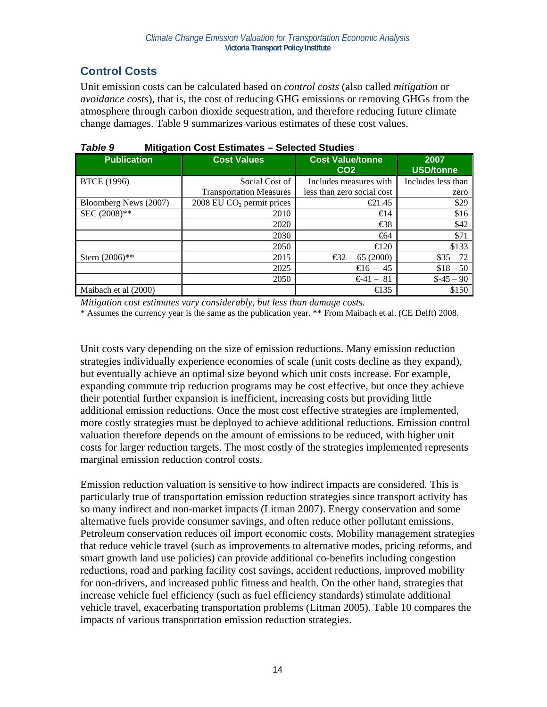## **Control Costs**

Unit emission costs can be calculated based on *control costs* (also called *mitigation* or *avoidance costs*), that is, the cost of reducing GHG emissions or removing GHGs from the atmosphere through carbon dioxide sequestration, and therefore reducing future climate change damages. Table 9 summarizes various estimates of these cost values.

| <b>Publication</b>    | <b>Cost Values</b>                    | <b>Cost Value/tonne</b><br>CO <sub>2</sub> | 2007<br><b>USD/tonne</b> |  |  |  |  |  |
|-----------------------|---------------------------------------|--------------------------------------------|--------------------------|--|--|--|--|--|
| <b>BTCE</b> (1996)    | Social Cost of                        | Includes measures with                     | Includes less than       |  |  |  |  |  |
|                       | <b>Transportation Measures</b>        | less than zero social cost                 | zero                     |  |  |  |  |  |
| Bloomberg News (2007) | 2008 EU CO <sub>2</sub> permit prices | $\bigoplus$ 1.45                           | \$29                     |  |  |  |  |  |
| SEC (2008)**          | 2010                                  | $\bigoplus$ 4                              | \$16                     |  |  |  |  |  |
|                       | 2020                                  | $\bigoplus$                                | \$42                     |  |  |  |  |  |
|                       | 2030                                  | $\bigoplus$ 4                              | \$71                     |  |  |  |  |  |
|                       | 2050                                  | $\triangleleft$ 20                         | \$133                    |  |  |  |  |  |
| Stern $(2006)$ **     | 2015                                  | €32 $-65(2000)$                            | $\$35 - 72$              |  |  |  |  |  |
|                       | 2025                                  | $\epsilon$ 16 – 45                         | $$18 - 50$               |  |  |  |  |  |
|                       | 2050                                  | $-641 - 81$                                | $\$ -45 - 90$            |  |  |  |  |  |
| Maibach et al (2000)  |                                       | $\bigoplus$ 35                             | \$150                    |  |  |  |  |  |

| Table 9 | <b>Mitigation Cost Estimates - Selected Studies</b> |
|---------|-----------------------------------------------------|
|---------|-----------------------------------------------------|

*Mitigation cost estimates vary considerably, but less than damage costs.* 

\* Assumes the currency year is the same as the publication year. \*\* From Maibach et al. (CE Delft) 2008.

Unit costs vary depending on the size of emission reductions. Many emission reduction strategies individually experience economies of scale (unit costs decline as they expand), but eventually achieve an optimal size beyond which unit costs increase. For example, expanding commute trip reduction programs may be cost effective, but once they achieve their potential further expansion is inefficient, increasing costs but providing little additional emission reductions. Once the most cost effective strategies are implemented, more costly strategies must be deployed to achieve additional reductions. Emission control valuation therefore depends on the amount of emissions to be reduced, with higher unit costs for larger reduction targets. The most costly of the strategies implemented represents marginal emission reduction control costs.

Emission reduction valuation is sensitive to how indirect impacts are considered. This is particularly true of transportation emission reduction strategies since transport activity has so many indirect and non-market impacts (Litman 2007). Energy conservation and some alternative fuels provide consumer savings, and often reduce other pollutant emissions. Petroleum conservation reduces oil import economic costs. Mobility management strategies that reduce vehicle travel (such as improvements to alternative modes, pricing reforms, and smart growth land use policies) can provide additional co-benefits including congestion reductions, road and parking facility cost savings, accident reductions, improved mobility for non-drivers, and increased public fitness and health. On the other hand, strategies that increase vehicle fuel efficiency (such as fuel efficiency standards) stimulate additional vehicle travel, exacerbating transportation problems (Litman 2005). Table 10 compares the impacts of various transportation emission reduction strategies.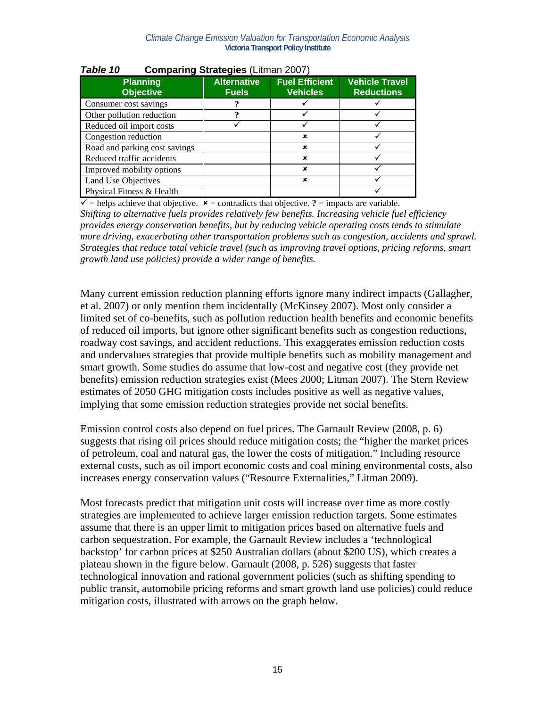| $\frac{1}{2}$ . $\frac{1}{2}$ (Eighter Eggs) |                                    |                                          |                                            |  |  |
|----------------------------------------------|------------------------------------|------------------------------------------|--------------------------------------------|--|--|
| <b>Planning</b><br><b>Objective</b>          | <b>Alternative</b><br><b>Fuels</b> | <b>Fuel Efficient</b><br><b>Vehicles</b> | <b>Vehicle Travel</b><br><b>Reductions</b> |  |  |
| Consumer cost savings                        |                                    |                                          |                                            |  |  |
| Other pollution reduction                    |                                    |                                          |                                            |  |  |
| Reduced oil import costs                     |                                    |                                          |                                            |  |  |
| Congestion reduction                         |                                    | $\mathbf x$                              |                                            |  |  |
| Road and parking cost savings                |                                    | $\mathbf x$                              |                                            |  |  |
| Reduced traffic accidents                    |                                    | $\mathbf x$                              |                                            |  |  |
| Improved mobility options                    |                                    | $\mathbf x$                              |                                            |  |  |
| Land Use Objectives                          |                                    | ×                                        |                                            |  |  |
| Physical Fitness & Health                    |                                    |                                          |                                            |  |  |

*Table 10* **Comparing Strategies** (Litman 2007)

 $\vec{v}$  = helps achieve that objective.  $\vec{x}$  = contradicts that objective. **?** = impacts are variable. *Shifting to alternative fuels provides relatively few benefits. Increasing vehicle fuel efficiency provides energy conservation benefits, but by reducing vehicle operating costs tends to stimulate more driving, exacerbating other transportation problems such as congestion, accidents and sprawl. Strategies that reduce total vehicle travel (such as improving travel options, pricing reforms, smart growth land use policies) provide a wider range of benefits.* 

Many current emission reduction planning efforts ignore many indirect impacts (Gallagher, et al. 2007) or only mention them incidentally (McKinsey 2007). Most only consider a limited set of co-benefits, such as pollution reduction health benefits and economic benefits of reduced oil imports, but ignore other significant benefits such as congestion reductions, roadway cost savings, and accident reductions. This exaggerates emission reduction costs and undervalues strategies that provide multiple benefits such as mobility management and smart growth. Some studies do assume that low-cost and negative cost (they provide net benefits) emission reduction strategies exist (Mees 2000; Litman 2007). The Stern Review estimates of 2050 GHG mitigation costs includes positive as well as negative values, implying that some emission reduction strategies provide net social benefits.

Emission control costs also depend on fuel prices. The Garnault Review (2008, p. 6) suggests that rising oil prices should reduce mitigation costs; the "higher the market prices of petroleum, coal and natural gas, the lower the costs of mitigation." Including resource external costs, such as oil import economic costs and coal mining environmental costs, also increases energy conservation values ("Resource Externalities," Litman 2009).

Most forecasts predict that mitigation unit costs will increase over time as more costly strategies are implemented to achieve larger emission reduction targets. Some estimates assume that there is an upper limit to mitigation prices based on alternative fuels and carbon sequestration. For example, the Garnault Review includes a 'technological backstop' for carbon prices at \$250 Australian dollars (about \$200 US), which creates a plateau shown in the figure below. Garnault (2008, p. 526) suggests that faster technological innovation and rational government policies (such as shifting spending to public transit, automobile pricing reforms and smart growth land use policies) could reduce mitigation costs, illustrated with arrows on the graph below.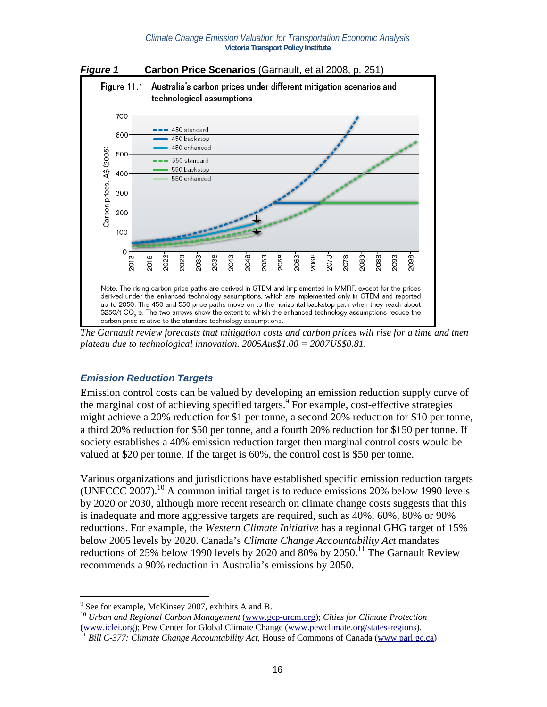

*The Garnault review forecasts that mitigation costs and carbon prices will rise for a time and then plateau due to technological innovation. 2005Aus\$1.00 = 2007US\$0.81.* 

### *Emission Reduction Targets*

Emission control costs can be valued by developing an emission reduction supply curve of the marginal cost of achieving specified targets. $\frac{1}{2}$  For example, cost-effective strategies might achieve a 20% reduction for \$1 per tonne, a second 20% reduction for \$10 per tonne, a third 20% reduction for \$50 per tonne, and a fourth 20% reduction for \$150 per tonne. If society establishes a 40% emission reduction target then marginal control costs would be valued at \$20 per tonne. If the target is 60%, the control cost is \$50 per tonne.

Various organizations and jurisdictions have established specific emission reduction targets (UNFCCC 2007).<sup>10</sup> A common initial target is to reduce emissions 20% below 1990 levels by 2020 or 2030, although more recent research on climate change costs suggests that this is inadequate and more aggressive targets are required, such as 40%, 60%, 80% or 90% reductions. For example, the *Western Climate Initiative* has a regional GHG target of 15% below 2005 levels by 2020. Canada's *Climate Change Accountability Act* mandates reductions of 25% below 1990 levels by 2020 and 80% by 2050.<sup>11</sup> The Garnault Review recommends a 90% reduction in Australia's emissions by 2050.

 $\overline{a}$ 

<sup>&</sup>lt;sup>9</sup> See for example, McKinsey 2007, exhibits A and B.

<sup>10</sup> *Urban and Regional Carbon Management* (www.gcp-urcm.org); *Cities for Climate Protection* (www.iclei.org); Pew Center for Global Climate Change (www.pewclimate.org/states-regions). 11 *Bill C-377: Climate Change Accountability Act*, House of Commons of Canada (www.parl.gc.ca)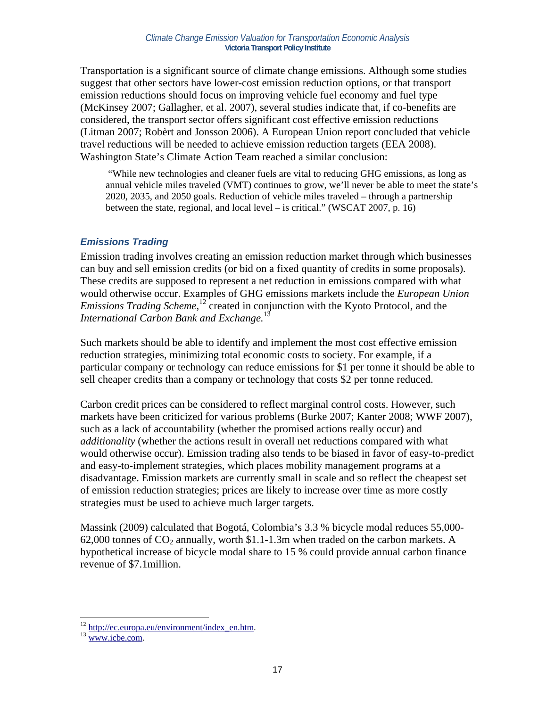Transportation is a significant source of climate change emissions. Although some studies suggest that other sectors have lower-cost emission reduction options, or that transport emission reductions should focus on improving vehicle fuel economy and fuel type (McKinsey 2007; Gallagher, et al. 2007), several studies indicate that, if co-benefits are considered, the transport sector offers significant cost effective emission reductions (Litman 2007; Robèrt and Jonsson 2006). A European Union report concluded that vehicle travel reductions will be needed to achieve emission reduction targets (EEA 2008). Washington State's Climate Action Team reached a similar conclusion:

 "While new technologies and cleaner fuels are vital to reducing GHG emissions, as long as annual vehicle miles traveled (VMT) continues to grow, we'll never be able to meet the state's 2020, 2035, and 2050 goals. Reduction of vehicle miles traveled – through a partnership between the state, regional, and local level – is critical." (WSCAT 2007, p. 16)

### *Emissions Trading*

Emission trading involves creating an emission reduction market through which businesses can buy and sell emission credits (or bid on a fixed quantity of credits in some proposals). These credits are supposed to represent a net reduction in emissions compared with what would otherwise occur. Examples of GHG emissions markets include the *European Union Emissions Trading Scheme*,<sup>12</sup> created in conjunction with the Kyoto Protocol, and the *International Carbon Bank and Exchange.*13

Such markets should be able to identify and implement the most cost effective emission reduction strategies, minimizing total economic costs to society. For example, if a particular company or technology can reduce emissions for \$1 per tonne it should be able to sell cheaper credits than a company or technology that costs \$2 per tonne reduced.

Carbon credit prices can be considered to reflect marginal control costs. However, such markets have been criticized for various problems (Burke 2007; Kanter 2008; WWF 2007), such as a lack of accountability (whether the promised actions really occur) and *additionality* (whether the actions result in overall net reductions compared with what would otherwise occur). Emission trading also tends to be biased in favor of easy-to-predict and easy-to-implement strategies, which places mobility management programs at a disadvantage. Emission markets are currently small in scale and so reflect the cheapest set of emission reduction strategies; prices are likely to increase over time as more costly strategies must be used to achieve much larger targets.

Massink (2009) calculated that Bogotá, Colombia's 3.3 % bicycle modal reduces 55,000- 62,000 tonnes of  $CO_2$  annually, worth \$1.1-1.3m when traded on the carbon markets. A hypothetical increase of bicycle modal share to 15 % could provide annual carbon finance revenue of \$7.1million.

 $\overline{a}$ 

 $^{12}$  http://ec.europa.eu/environment/index\_en.htm.<br> $^{13}$  www.icbe.com.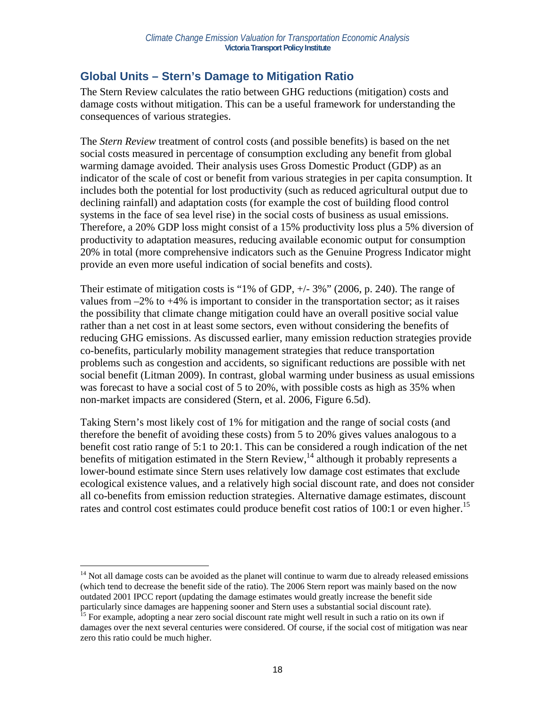### **Global Units – Stern's Damage to Mitigation Ratio**

The Stern Review calculates the ratio between GHG reductions (mitigation) costs and damage costs without mitigation. This can be a useful framework for understanding the consequences of various strategies.

The *Stern Review* treatment of control costs (and possible benefits) is based on the net social costs measured in percentage of consumption excluding any benefit from global warming damage avoided. Their analysis uses Gross Domestic Product (GDP) as an indicator of the scale of cost or benefit from various strategies in per capita consumption. It includes both the potential for lost productivity (such as reduced agricultural output due to declining rainfall) and adaptation costs (for example the cost of building flood control systems in the face of sea level rise) in the social costs of business as usual emissions. Therefore, a 20% GDP loss might consist of a 15% productivity loss plus a 5% diversion of productivity to adaptation measures, reducing available economic output for consumption 20% in total (more comprehensive indicators such as the Genuine Progress Indicator might provide an even more useful indication of social benefits and costs).

Their estimate of mitigation costs is "1% of GDP, +/- 3%" (2006, p. 240). The range of values from  $-2\%$  to  $+4\%$  is important to consider in the transportation sector; as it raises the possibility that climate change mitigation could have an overall positive social value rather than a net cost in at least some sectors, even without considering the benefits of reducing GHG emissions. As discussed earlier, many emission reduction strategies provide co-benefits, particularly mobility management strategies that reduce transportation problems such as congestion and accidents, so significant reductions are possible with net social benefit (Litman 2009). In contrast, global warming under business as usual emissions was forecast to have a social cost of 5 to 20%, with possible costs as high as 35% when non-market impacts are considered (Stern, et al. 2006, Figure 6.5d).

Taking Stern's most likely cost of 1% for mitigation and the range of social costs (and therefore the benefit of avoiding these costs) from 5 to 20% gives values analogous to a benefit cost ratio range of 5:1 to 20:1. This can be considered a rough indication of the net benefits of mitigation estimated in the Stern Review,<sup>14</sup> although it probably represents a lower-bound estimate since Stern uses relatively low damage cost estimates that exclude ecological existence values, and a relatively high social discount rate, and does not consider all co-benefits from emission reduction strategies. Alternative damage estimates, discount rates and control cost estimates could produce benefit cost ratios of 100:1 or even higher.<sup>15</sup>

<sup>1</sup>  $14$  Not all damage costs can be avoided as the planet will continue to warm due to already released emissions (which tend to decrease the benefit side of the ratio). The 2006 Stern report was mainly based on the now outdated 2001 IPCC report (updating the damage estimates would greatly increase the benefit side particularly since damages are happening sooner and Stern uses a substantial social discount rate).

<sup>&</sup>lt;sup>15</sup> For example, adopting a near zero social discount rate might well result in such a ratio on its own if damages over the next several centuries were considered. Of course, if the social cost of mitigation was near zero this ratio could be much higher.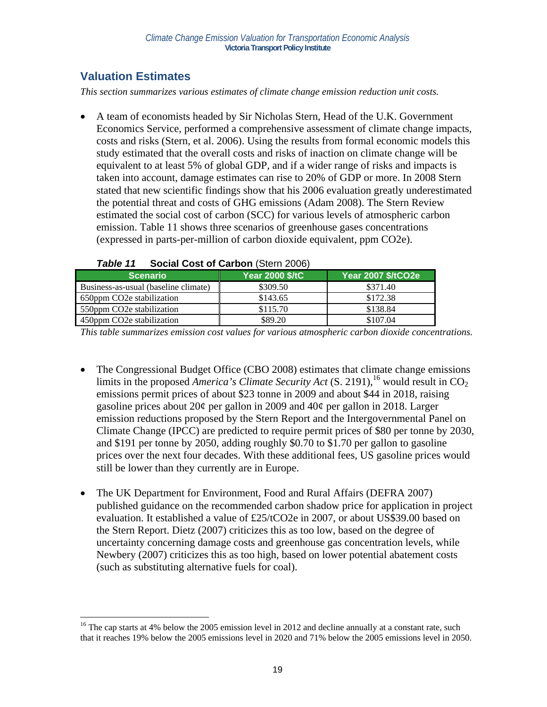## **Valuation Estimates**

 $\overline{a}$ 

*This section summarizes various estimates of climate change emission reduction unit costs.* 

• A team of economists headed by Sir Nicholas Stern, Head of the U.K. Government Economics Service, performed a comprehensive assessment of climate change impacts, costs and risks (Stern, et al. 2006). Using the results from formal economic models this study estimated that the overall costs and risks of inaction on climate change will be equivalent to at least 5% of global GDP, and if a wider range of risks and impacts is taken into account, damage estimates can rise to 20% of GDP or more. In 2008 Stern stated that new scientific findings show that his 2006 evaluation greatly underestimated the potential threat and costs of GHG emissions (Adam 2008). The Stern Review estimated the social cost of carbon (SCC) for various levels of atmospheric carbon emission. Table 11 shows three scenarios of greenhouse gases concentrations (expressed in parts-per-million of carbon dioxide equivalent, ppm CO2e).

| <b>Scenario</b>                      | <b>Year 2000 \$/tC</b> | Year 2007 \$/tCO2e |  |
|--------------------------------------|------------------------|--------------------|--|
| Business-as-usual (baseline climate) | \$309.50               | \$371.40           |  |
| 650ppm CO2e stabilization            | \$143.65               | \$172.38           |  |
| 550ppm CO2e stabilization            | \$115.70               | \$138.84           |  |
| 450ppm CO2e stabilization            | \$89.20                | \$107.04           |  |

#### *Table 11* **Social Cost of Carbon** (Stern 2006)

*This table summarizes emission cost values for various atmospheric carbon dioxide concentrations.* 

- The Congressional Budget Office (CBO 2008) estimates that climate change emissions limits in the proposed *America's Climate Security Act* (S. 2191),<sup>16</sup> would result in  $CO<sub>2</sub>$ emissions permit prices of about \$23 tonne in 2009 and about \$44 in 2018, raising gasoline prices about 20¢ per gallon in 2009 and 40¢ per gallon in 2018. Larger emission reductions proposed by the Stern Report and the Intergovernmental Panel on Climate Change (IPCC) are predicted to require permit prices of \$80 per tonne by 2030, and \$191 per tonne by 2050, adding roughly \$0.70 to \$1.70 per gallon to gasoline prices over the next four decades. With these additional fees, US gasoline prices would still be lower than they currently are in Europe.
- The UK Department for Environment, Food and Rural Affairs (DEFRA 2007) published guidance on the recommended carbon shadow price for application in project evaluation. It established a value of £25/tCO2e in 2007, or about US\$39.00 based on the Stern Report. Dietz (2007) criticizes this as too low, based on the degree of uncertainty concerning damage costs and greenhouse gas concentration levels, while Newbery (2007) criticizes this as too high, based on lower potential abatement costs (such as substituting alternative fuels for coal).

<sup>&</sup>lt;sup>16</sup> The cap starts at 4% below the 2005 emission level in 2012 and decline annually at a constant rate, such that it reaches 19% below the 2005 emissions level in 2020 and 71% below the 2005 emissions level in 2050.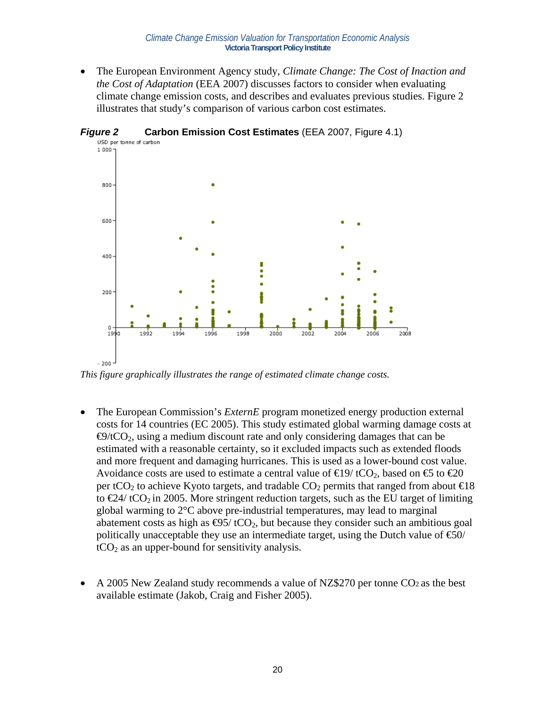• The European Environment Agency study, *Climate Change: The Cost of Inaction and the Cost of Adaptation* (EEA 2007) discusses factors to consider when evaluating climate change emission costs, and describes and evaluates previous studies. Figure 2 illustrates that study's comparison of various carbon cost estimates.



*Figure 2* **Carbon Emission Cost Estimates** (EEA 2007, Figure 4.1)

*This figure graphically illustrates the range of estimated climate change costs.* 

- The European Commission's *ExternE* program monetized energy production external costs for 14 countries (EC 2005). This study estimated global warming damage costs at  $\Theta$ /tCO<sub>2</sub>, using a medium discount rate and only considering damages that can be estimated with a reasonable certainty, so it excluded impacts such as extended floods and more frequent and damaging hurricanes. This is used as a lower-bound cost value. Avoidance costs are used to estimate a central value of  $\in$ 19/tCO<sub>2</sub>, based on  $\in$  to  $\in$ 20 per tCO<sub>2</sub> to achieve Kyoto targets, and tradable  $CO_2$  permits that ranged from about  $\text{E}18$ to  $\in 24$ / tCO<sub>2</sub> in 2005. More stringent reduction targets, such as the EU target of limiting global warming to 2°C above pre-industrial temperatures, may lead to marginal abatement costs as high as  $\Theta$ 5/ tCO<sub>2</sub>, but because they consider such an ambitious goal politically unacceptable they use an intermediate target, using the Dutch value of  $\epsilon$ 60/  $tCO<sub>2</sub>$  as an upper-bound for sensitivity analysis.
- A 2005 New Zealand study recommends a value of NZ\$270 per tonne CO<sub>2</sub> as the best available estimate (Jakob, Craig and Fisher 2005).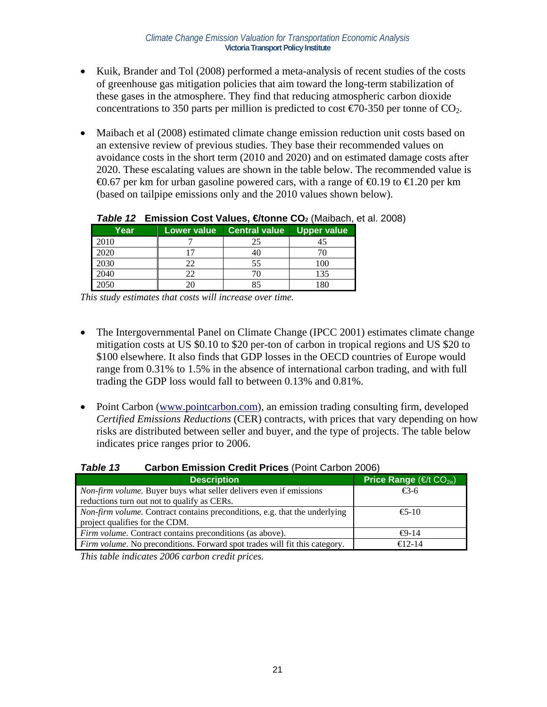- Kuik, Brander and Tol (2008) performed a meta-analysis of recent studies of the costs of greenhouse gas mitigation policies that aim toward the long-term stabilization of these gases in the atmosphere. They find that reducing atmospheric carbon dioxide concentrations to 350 parts per million is predicted to cost  $\epsilon$  = 70-350 per tonne of CO<sub>2</sub>.
- Maibach et al (2008) estimated climate change emission reduction unit costs based on an extensive review of previous studies. They base their recommended values on avoidance costs in the short term (2010 and 2020) and on estimated damage costs after 2020. These escalating values are shown in the table below. The recommended value is  $\bigoplus$ .67 per km for urban gasoline powered cars, with a range of  $\bigoplus$ .19 to  $\bigoplus$ .20 per km (based on tailpipe emissions only and the 2010 values shown below).

| Year | Lower value | <b>Central value</b> | <b>Upper value</b> |
|------|-------------|----------------------|--------------------|
| 2010 |             | 25                   |                    |
| 2020 |             |                      |                    |
| 2030 | 22          | 55                   | 100                |
| 2040 | 22          |                      | 135                |
| 2050 |             |                      |                    |

### **Table 12 Emission Cost Values, €tonne CO<sub>2</sub> (Maibach, et al. 2008)**

*This study estimates that costs will increase over time.* 

- The Intergovernmental Panel on Climate Change (IPCC 2001) estimates climate change mitigation costs at US \$0.10 to \$20 per-ton of carbon in tropical regions and US \$20 to \$100 elsewhere. It also finds that GDP losses in the OECD countries of Europe would range from 0.31% to 1.5% in the absence of international carbon trading, and with full trading the GDP loss would fall to between 0.13% and 0.81%.
- Point Carbon (www.pointcarbon.com), an emission trading consulting firm, developed *Certified Emissions Reductions* (CER) contracts, with prices that vary depending on how risks are distributed between seller and buyer, and the type of projects. The table below indicates price ranges prior to 2006.

| <b>Table 13</b> | <b>Carbon Emission Credit Prices (Point Carbon 2006)</b> |                            |
|-----------------|----------------------------------------------------------|----------------------------|
|                 | <b>Description</b>                                       | <b>Price Range Price R</b> |

| Description <sup>1</sup>                                                          | Price Range ( $\in$ /t CO <sub>2e</sub> ) |
|-----------------------------------------------------------------------------------|-------------------------------------------|
| Non-firm volume. Buyer buys what seller delivers even if emissions                | €3-6                                      |
| reductions turn out not to qualify as CERs.                                       |                                           |
| <i>Non-firm volume.</i> Contract contains preconditions, e.g. that the underlying | $\epsilon$ 5-10                           |
| project qualifies for the CDM.                                                    |                                           |
| <i>Firm volume.</i> Contract contains preconditions (as above).                   | $\Theta$ -14                              |
| <i>Firm volume.</i> No preconditions. Forward spot trades will fit this category. | $f(12-14)$                                |

*This table indicates 2006 carbon credit prices.*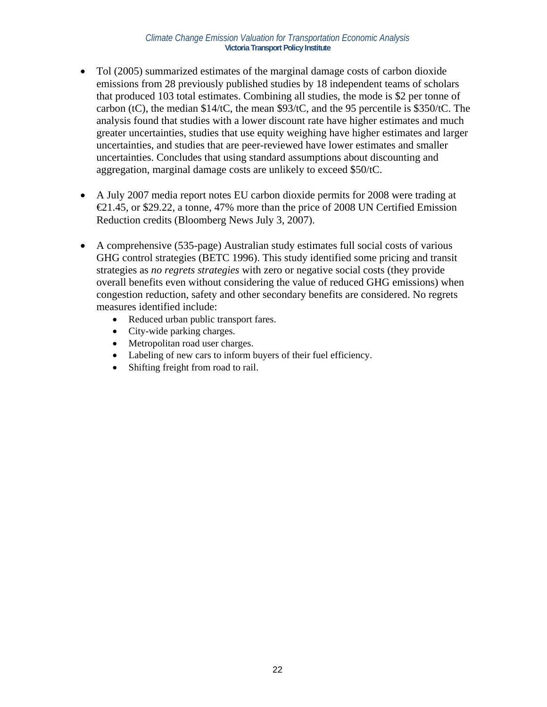- Tol (2005) summarized estimates of the marginal damage costs of carbon dioxide emissions from 28 previously published studies by 18 independent teams of scholars that produced 103 total estimates. Combining all studies, the mode is \$2 per tonne of carbon (tC), the median \$14/tC, the mean \$93/tC, and the 95 percentile is \$350/tC. The analysis found that studies with a lower discount rate have higher estimates and much greater uncertainties, studies that use equity weighing have higher estimates and larger uncertainties, and studies that are peer-reviewed have lower estimates and smaller uncertainties. Concludes that using standard assumptions about discounting and aggregation, marginal damage costs are unlikely to exceed \$50/tC.
- A July 2007 media report notes EU carbon dioxide permits for 2008 were trading at  $\epsilon$ 21.45, or \$29.22, a tonne, 47% more than the price of 2008 UN Certified Emission Reduction credits (Bloomberg News July 3, 2007).
- A comprehensive (535-page) Australian study estimates full social costs of various GHG control strategies (BETC 1996). This study identified some pricing and transit strategies as *no regrets strategies* with zero or negative social costs (they provide overall benefits even without considering the value of reduced GHG emissions) when congestion reduction, safety and other secondary benefits are considered. No regrets measures identified include:
	- Reduced urban public transport fares.
	- City-wide parking charges.
	- Metropolitan road user charges.
	- Labeling of new cars to inform buyers of their fuel efficiency.
	- Shifting freight from road to rail.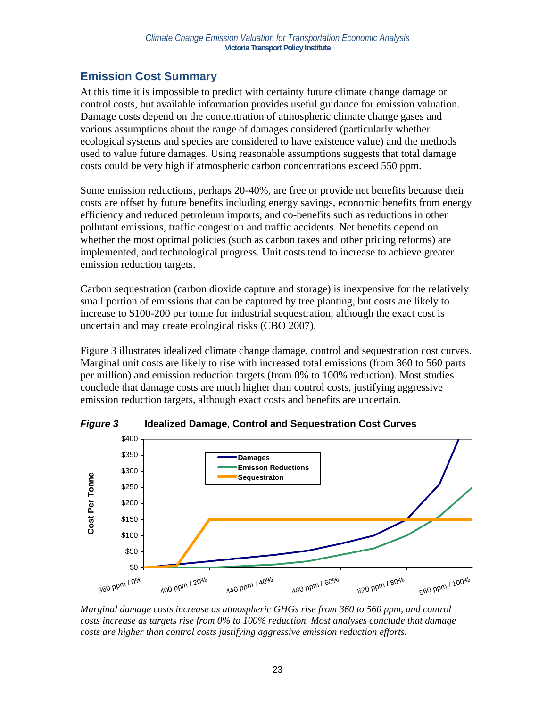## **Emission Cost Summary**

At this time it is impossible to predict with certainty future climate change damage or control costs, but available information provides useful guidance for emission valuation. Damage costs depend on the concentration of atmospheric climate change gases and various assumptions about the range of damages considered (particularly whether ecological systems and species are considered to have existence value) and the methods used to value future damages. Using reasonable assumptions suggests that total damage costs could be very high if atmospheric carbon concentrations exceed 550 ppm.

Some emission reductions, perhaps 20-40%, are free or provide net benefits because their costs are offset by future benefits including energy savings, economic benefits from energy efficiency and reduced petroleum imports, and co-benefits such as reductions in other pollutant emissions, traffic congestion and traffic accidents. Net benefits depend on whether the most optimal policies (such as carbon taxes and other pricing reforms) are implemented, and technological progress. Unit costs tend to increase to achieve greater emission reduction targets.

Carbon sequestration (carbon dioxide capture and storage) is inexpensive for the relatively small portion of emissions that can be captured by tree planting, but costs are likely to increase to \$100-200 per tonne for industrial sequestration, although the exact cost is uncertain and may create ecological risks (CBO 2007).

Figure 3 illustrates idealized climate change damage, control and sequestration cost curves. Marginal unit costs are likely to rise with increased total emissions (from 360 to 560 parts per million) and emission reduction targets (from 0% to 100% reduction). Most studies conclude that damage costs are much higher than control costs, justifying aggressive emission reduction targets, although exact costs and benefits are uncertain.



*Figure 3* **Idealized Damage, Control and Sequestration Cost Curves**

*Marginal damage costs increase as atmospheric GHGs rise from 360 to 560 ppm, and control costs increase as targets rise from 0% to 100% reduction. Most analyses conclude that damage costs are higher than control costs justifying aggressive emission reduction efforts.*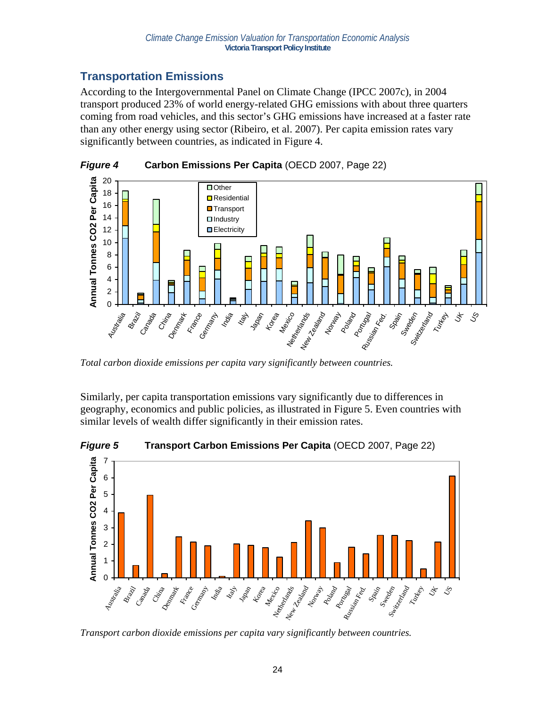## **Transportation Emissions**

According to the Intergovernmental Panel on Climate Change (IPCC 2007c), in 2004 transport produced 23% of world energy-related GHG emissions with about three quarters coming from road vehicles, and this sector's GHG emissions have increased at a faster rate than any other energy using sector (Ribeiro, et al. 2007). Per capita emission rates vary significantly between countries, as indicated in Figure 4.



*Total carbon dioxide emissions per capita vary significantly between countries.* 

Similarly, per capita transportation emissions vary significantly due to differences in geography, economics and public policies, as illustrated in Figure 5. Even countries with similar levels of wealth differ significantly in their emission rates.



*Figure 5* **Transport Carbon Emissions Per Capita** (OECD 2007, Page 22)

*Transport carbon dioxide emissions per capita vary significantly between countries.*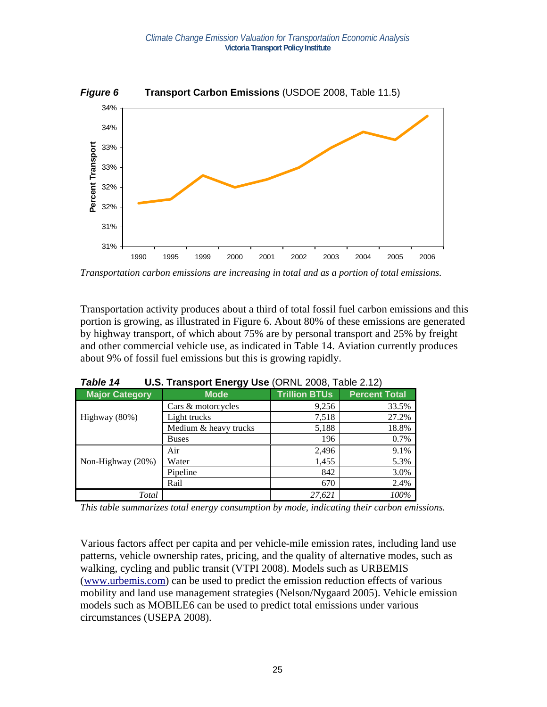

*Transportation carbon emissions are increasing in total and as a portion of total emissions.* 

Transportation activity produces about a third of total fossil fuel carbon emissions and this portion is growing, as illustrated in Figure 6. About 80% of these emissions are generated by highway transport, of which about 75% are by personal transport and 25% by freight and other commercial vehicle use, as indicated in Table 14. Aviation currently produces about 9% of fossil fuel emissions but this is growing rapidly.

|                       | . .                   |                      |                      |
|-----------------------|-----------------------|----------------------|----------------------|
| <b>Major Category</b> | <b>Mode</b>           | <b>Trillion BTUs</b> | <b>Percent Total</b> |
|                       | Cars & motorcycles    | 9,256                | 33.5%                |
| Highway (80%)         | Light trucks          | 7,518                | 27.2%                |
|                       | Medium & heavy trucks | 5,188                | 18.8%                |
|                       | <b>Buses</b>          | 196                  | 0.7%                 |
|                       | Air                   | 2,496                | 9.1%                 |
| Non-Highway (20%)     | Water                 | 1,455                | 5.3%                 |
|                       | Pipeline              | 842                  | 3.0%                 |
|                       | Rail                  | 670                  | 2.4%                 |
| Total                 |                       | 27.621               | 100%                 |

*Table 14* **U.S. Transport Energy Use** (ORNL 2008, Table 2.12)

*This table summarizes total energy consumption by mode, indicating their carbon emissions.* 

Various factors affect per capita and per vehicle-mile emission rates, including land use patterns, vehicle ownership rates, pricing, and the quality of alternative modes, such as walking, cycling and public transit (VTPI 2008). Models such as URBEMIS (www.urbemis.com) can be used to predict the emission reduction effects of various mobility and land use management strategies (Nelson/Nygaard 2005). Vehicle emission models such as MOBILE6 can be used to predict total emissions under various circumstances (USEPA 2008).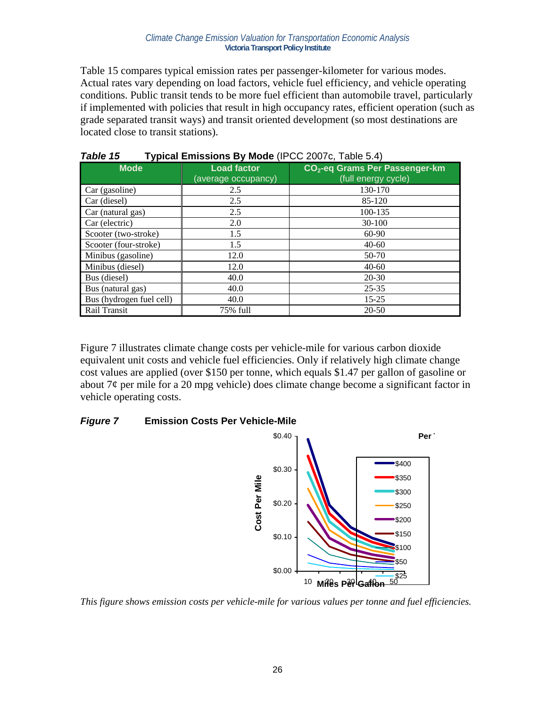Table 15 compares typical emission rates per passenger-kilometer for various modes. Actual rates vary depending on load factors, vehicle fuel efficiency, and vehicle operating conditions. Public transit tends to be more fuel efficient than automobile travel, particularly if implemented with policies that result in high occupancy rates, efficient operation (such as grade separated transit ways) and transit oriented development (so most destinations are located close to transit stations).

| . <i>,</i> ,<br>$\frac{1}{2}$ $\frac{1}{2}$ , $\frac{1}{2}$ , $\frac{1}{2}$ , $\frac{1}{2}$ , $\frac{1}{2}$ , $\frac{1}{2}$ , $\frac{1}{2}$ , $\frac{1}{2}$ , $\frac{1}{2}$ |                                           |                                                                   |  |  |  |
|-----------------------------------------------------------------------------------------------------------------------------------------------------------------------------|-------------------------------------------|-------------------------------------------------------------------|--|--|--|
| <b>Mode</b>                                                                                                                                                                 | <b>Load factor</b><br>(average occupancy) | CO <sub>2</sub> -eq Grams Per Passenger-km<br>(full energy cycle) |  |  |  |
| Car (gasoline)                                                                                                                                                              | 2.5                                       | 130-170                                                           |  |  |  |
| Car (diesel)                                                                                                                                                                | 2.5                                       | 85-120                                                            |  |  |  |
| Car (natural gas)                                                                                                                                                           | 2.5                                       | 100-135                                                           |  |  |  |
| Car (electric)                                                                                                                                                              | 2.0                                       | $30 - 100$                                                        |  |  |  |
| Scooter (two-stroke)                                                                                                                                                        | 1.5                                       | 60-90                                                             |  |  |  |
| Scooter (four-stroke)                                                                                                                                                       | 1.5                                       | $40 - 60$                                                         |  |  |  |
| Minibus (gasoline)                                                                                                                                                          | 12.0                                      | 50-70                                                             |  |  |  |
| Minibus (diesel)                                                                                                                                                            | 12.0                                      | $40 - 60$                                                         |  |  |  |
| Bus (diesel)                                                                                                                                                                | 40.0                                      | $20 - 30$                                                         |  |  |  |
| Bus (natural gas)                                                                                                                                                           | 40.0                                      | $25 - 35$                                                         |  |  |  |
| Bus (hydrogen fuel cell)                                                                                                                                                    | 40.0                                      | $15 - 25$                                                         |  |  |  |
| Rail Transit                                                                                                                                                                | 75% full                                  | $20 - 50$                                                         |  |  |  |

*Table 15* **Typical Emissions By Mode** (IPCC 2007c, Table 5.4)

Figure 7 illustrates climate change costs per vehicle-mile for various carbon dioxide equivalent unit costs and vehicle fuel efficiencies. Only if relatively high climate change cost values are applied (over \$150 per tonne, which equals \$1.47 per gallon of gasoline or about 7¢ per mile for a 20 mpg vehicle) does climate change become a significant factor in vehicle operating costs.

### *Figure 7* **Emission Costs Per Vehicle-Mile**



*This figure shows emission costs per vehicle-mile for various values per tonne and fuel efficiencies.*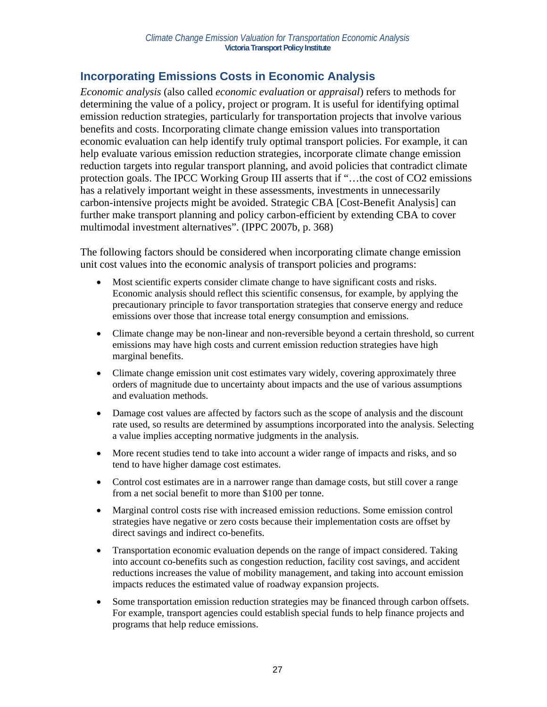### **Incorporating Emissions Costs in Economic Analysis**

*Economic analysis* (also called *economic evaluation* or *appraisal*) refers to methods for determining the value of a policy, project or program. It is useful for identifying optimal emission reduction strategies, particularly for transportation projects that involve various benefits and costs. Incorporating climate change emission values into transportation economic evaluation can help identify truly optimal transport policies. For example, it can help evaluate various emission reduction strategies, incorporate climate change emission reduction targets into regular transport planning, and avoid policies that contradict climate protection goals. The IPCC Working Group III asserts that if "…the cost of CO2 emissions has a relatively important weight in these assessments, investments in unnecessarily carbon-intensive projects might be avoided. Strategic CBA [Cost-Benefit Analysis] can further make transport planning and policy carbon-efficient by extending CBA to cover multimodal investment alternatives". (IPPC 2007b, p. 368)

The following factors should be considered when incorporating climate change emission unit cost values into the economic analysis of transport policies and programs:

- Most scientific experts consider climate change to have significant costs and risks. Economic analysis should reflect this scientific consensus, for example, by applying the precautionary principle to favor transportation strategies that conserve energy and reduce emissions over those that increase total energy consumption and emissions.
- Climate change may be non-linear and non-reversible beyond a certain threshold, so current emissions may have high costs and current emission reduction strategies have high marginal benefits.
- Climate change emission unit cost estimates vary widely, covering approximately three orders of magnitude due to uncertainty about impacts and the use of various assumptions and evaluation methods.
- Damage cost values are affected by factors such as the scope of analysis and the discount rate used, so results are determined by assumptions incorporated into the analysis. Selecting a value implies accepting normative judgments in the analysis.
- More recent studies tend to take into account a wider range of impacts and risks, and so tend to have higher damage cost estimates.
- Control cost estimates are in a narrower range than damage costs, but still cover a range from a net social benefit to more than \$100 per tonne.
- Marginal control costs rise with increased emission reductions. Some emission control strategies have negative or zero costs because their implementation costs are offset by direct savings and indirect co-benefits.
- Transportation economic evaluation depends on the range of impact considered. Taking into account co-benefits such as congestion reduction, facility cost savings, and accident reductions increases the value of mobility management, and taking into account emission impacts reduces the estimated value of roadway expansion projects.
- Some transportation emission reduction strategies may be financed through carbon offsets. For example, transport agencies could establish special funds to help finance projects and programs that help reduce emissions.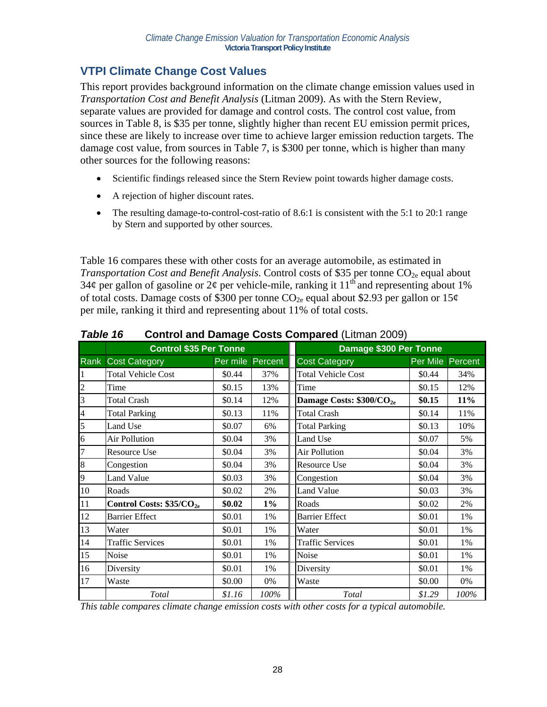## **VTPI Climate Change Cost Values**

This report provides background information on the climate change emission values used in *Transportation Cost and Benefit Analysis* (Litman 2009). As with the Stern Review, separate values are provided for damage and control costs. The control cost value, from sources in Table 8, is \$35 per tonne, slightly higher than recent EU emission permit prices, since these are likely to increase over time to achieve larger emission reduction targets. The damage cost value, from sources in Table 7, is \$300 per tonne, which is higher than many other sources for the following reasons:

- Scientific findings released since the Stern Review point towards higher damage costs.
- A rejection of higher discount rates.
- The resulting damage-to-control-cost-ratio of 8.6:1 is consistent with the  $5:1$  to 20:1 range by Stern and supported by other sources.

Table 16 compares these with other costs for an average automobile, as estimated in *Transportation Cost and Benefit Analysis.* Control costs of \$35 per tonne CO<sub>2e</sub> equal about  $34¢$  per gallon of gasoline or  $2¢$  per vehicle-mile, ranking it  $11<sup>th</sup>$  and representing about 1% of total costs. Damage costs of \$300 per tonne  $CO_{2e}$  equal about \$2.93 per gallon or 15¢ per mile, ranking it third and representing about 11% of total costs.

|                | <b>Control \$35 Per Tonne</b> |          |         | Damage \$300 Per Tonne               |          |         |
|----------------|-------------------------------|----------|---------|--------------------------------------|----------|---------|
| Rank           | <b>Cost Category</b>          | Per mile | Percent | <b>Cost Category</b>                 | Per Mile | Percent |
|                | <b>Total Vehicle Cost</b>     | \$0.44   | 37%     | <b>Total Vehicle Cost</b>            | \$0.44   | 34%     |
| $\overline{c}$ | Time                          | \$0.15   | 13%     | Time                                 | \$0.15   | 12%     |
| $\overline{3}$ | <b>Total Crash</b>            | \$0.14   | 12%     | Damage Costs: \$300/CO <sub>2e</sub> | \$0.15   | 11%     |
| $\overline{4}$ | <b>Total Parking</b>          | \$0.13   | 11%     | <b>Total Crash</b>                   | \$0.14   | 11%     |
| 5              | Land Use                      | \$0.07   | 6%      | <b>Total Parking</b>                 | \$0.13   | 10%     |
| 6              | Air Pollution                 | \$0.04   | 3%      | Land Use                             | \$0.07   | 5%      |
| $\overline{7}$ | <b>Resource Use</b>           | \$0.04   | 3%      | <b>Air Pollution</b>                 | \$0.04   | 3%      |
| 8              | Congestion                    | \$0.04   | 3%      | <b>Resource Use</b>                  | \$0.04   | 3%      |
| 9              | <b>Land Value</b>             | \$0.03   | 3%      | Congestion                           | \$0.04   | 3%      |
| 10             | Roads                         | \$0.02   | 2%      | <b>Land Value</b>                    | \$0.03   | 3%      |
| 11             | Control Costs: $$35/CO_{2e}$$ | \$0.02   | $1\%$   | Roads                                | \$0.02   | 2%      |
| 12             | <b>Barrier Effect</b>         | \$0.01   | 1%      | <b>Barrier Effect</b>                | \$0.01   | 1%      |
| 13             | Water                         | \$0.01   | 1%      | Water                                | \$0.01   | 1%      |
| 14             | <b>Traffic Services</b>       | \$0.01   | 1%      | <b>Traffic Services</b>              | \$0.01   | 1%      |
| 15             | Noise                         | \$0.01   | 1%      | Noise                                | \$0.01   | 1%      |
| 16             | Diversity                     | \$0.01   | 1%      | Diversity                            | \$0.01   | 1%      |
| 17             | Waste                         | \$0.00   | 0%      | Waste                                | \$0.00   | 0%      |
|                | Total                         | \$1.16   | 100%    | <b>Total</b>                         | \$1.29   | 100%    |

#### *Table 16* **Control and Damage Costs Compared** (Litman 2009)

*This table compares climate change emission costs with other costs for a typical automobile.*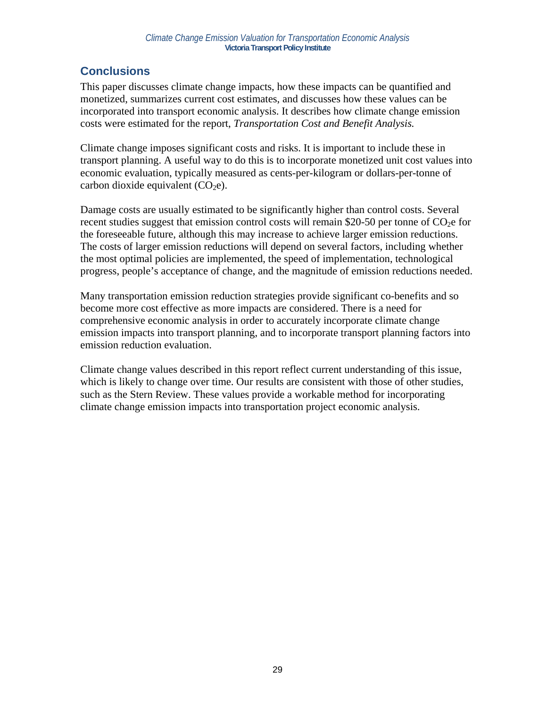## **Conclusions**

This paper discusses climate change impacts, how these impacts can be quantified and monetized, summarizes current cost estimates, and discusses how these values can be incorporated into transport economic analysis. It describes how climate change emission costs were estimated for the report, *Transportation Cost and Benefit Analysis.* 

Climate change imposes significant costs and risks. It is important to include these in transport planning. A useful way to do this is to incorporate monetized unit cost values into economic evaluation, typically measured as cents-per-kilogram or dollars-per-tonne of carbon dioxide equivalent  $(CO<sub>2</sub>e)$ .

Damage costs are usually estimated to be significantly higher than control costs. Several recent studies suggest that emission control costs will remain \$20-50 per tonne of  $CO<sub>2</sub>e$  for the foreseeable future, although this may increase to achieve larger emission reductions. The costs of larger emission reductions will depend on several factors, including whether the most optimal policies are implemented, the speed of implementation, technological progress, people's acceptance of change, and the magnitude of emission reductions needed.

Many transportation emission reduction strategies provide significant co-benefits and so become more cost effective as more impacts are considered. There is a need for comprehensive economic analysis in order to accurately incorporate climate change emission impacts into transport planning, and to incorporate transport planning factors into emission reduction evaluation.

Climate change values described in this report reflect current understanding of this issue, which is likely to change over time. Our results are consistent with those of other studies, such as the Stern Review. These values provide a workable method for incorporating climate change emission impacts into transportation project economic analysis.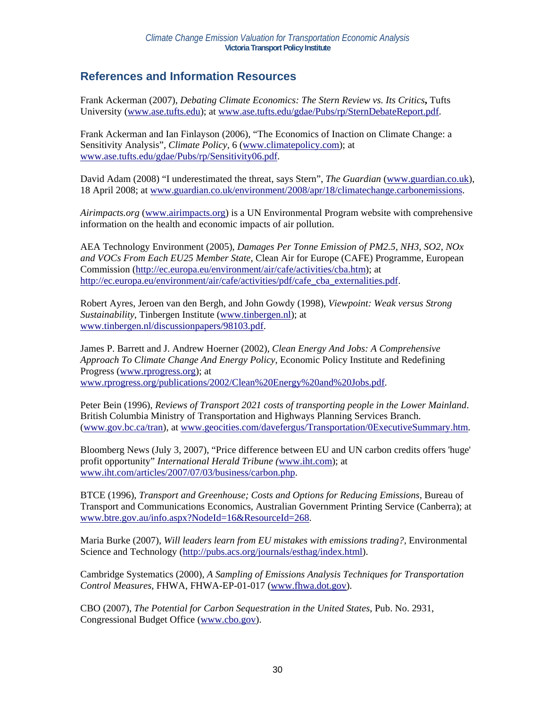### **References and Information Resources**

Frank Ackerman (2007), *Debating Climate Economics: The Stern Review vs. Its Critics***,** Tufts University (www.ase.tufts.edu); at www.ase.tufts.edu/gdae/Pubs/rp/SternDebateReport.pdf.

Frank Ackerman and Ian Finlayson (2006), "The Economics of Inaction on Climate Change: a Sensitivity Analysis"*, Climate Policy,* 6 (www.climatepolicy.com); at www.ase.tufts.edu/gdae/Pubs/rp/Sensitivity06.pdf.

David Adam (2008) "I underestimated the threat, says Stern", *The Guardian* (www.guardian.co.uk), 18 April 2008; at www.guardian.co.uk/environment/2008/apr/18/climatechange.carbonemissions.

*Airimpacts.org* (www.airimpacts.org) is a UN Environmental Program website with comprehensive information on the health and economic impacts of air pollution.

AEA Technology Environment (2005), *Damages Per Tonne Emission of PM2.5, NH3, SO2, NOx and VOCs From Each EU25 Member State*, Clean Air for Europe (CAFE) Programme, European Commission (http://ec.europa.eu/environment/air/cafe/activities/cba.htm); at http://ec.europa.eu/environment/air/cafe/activities/pdf/cafe\_cba\_externalities.pdf.

Robert Ayres, Jeroen van den Bergh, and John Gowdy (1998), *Viewpoint: Weak versus Strong Sustainability*, Tinbergen Institute (www.tinbergen.nl); at www.tinbergen.nl/discussionpapers/98103.pdf.

James P. Barrett and J. Andrew Hoerner (2002), *Clean Energy And Jobs: A Comprehensive Approach To Climate Change And Energy Policy*, Economic Policy Institute and Redefining Progress (www.rprogress.org); at www.rprogress.org/publications/2002/Clean%20Energy%20and%20Jobs.pdf.

Peter Bein (1996), *Reviews of Transport 2021 costs of transporting people in the Lower Mainland*. British Columbia Ministry of Transportation and Highways Planning Services Branch. (www.gov.bc.ca/tran), at www.geocities.com/davefergus/Transportation/0ExecutiveSummary.htm.

Bloomberg News (July 3, 2007), "Price difference between EU and UN carbon credits offers 'huge' profit opportunity" *International Herald Tribune (*www.iht.com); at www.iht.com/articles/2007/07/03/business/carbon.php.

BTCE (1996), *Transport and Greenhouse; Costs and Options for Reducing Emissions*, Bureau of Transport and Communications Economics, Australian Government Printing Service (Canberra); at www.btre.gov.au/info.aspx?NodeId=16&ResourceId=268.

Maria Burke (2007), *Will leaders learn from EU mistakes with emissions trading?,* Environmental Science and Technology (http://pubs.acs.org/journals/esthag/index.html).

Cambridge Systematics (2000), *A Sampling of Emissions Analysis Techniques for Transportation Control Measures*, FHWA, FHWA-EP-01-017 (www.fhwa.dot.gov).

CBO (2007), *The Potential for Carbon Sequestration in the United States*, Pub. No. 2931, Congressional Budget Office (www.cbo.gov).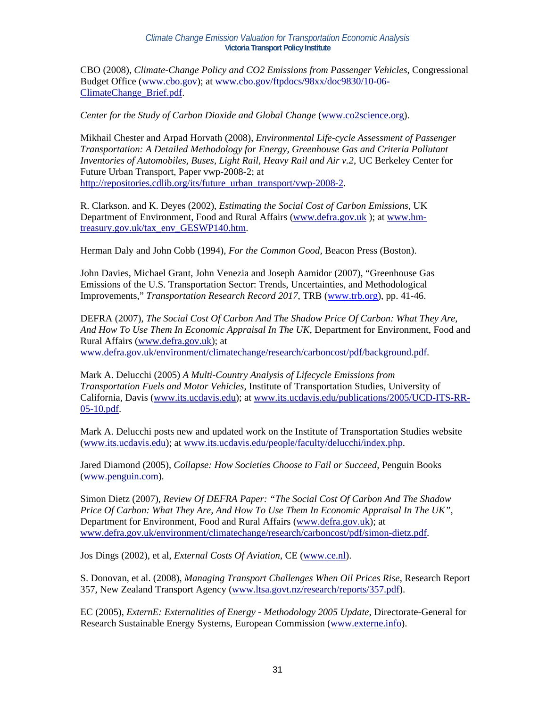#### *Climate Change Emission Valuation for Transportation Economic Analysis*  **Victoria Transport Policy Institute**

CBO (2008), *Climate-Change Policy and CO2 Emissions from Passenger Vehicles*, Congressional Budget Office (www.cbo.gov); at www.cbo.gov/ftpdocs/98xx/doc9830/10-06- ClimateChange\_Brief.pdf.

*Center for the Study of Carbon Dioxide and Global Change* (www.co2science.org).

Mikhail Chester and Arpad Horvath (2008), *Environmental Life-cycle Assessment of Passenger Transportation: A Detailed Methodology for Energy, Greenhouse Gas and Criteria Pollutant Inventories of Automobiles, Buses, Light Rail, Heavy Rail and Air v.2*, UC Berkeley Center for Future Urban Transport, Paper vwp-2008-2; at http://repositories.cdlib.org/its/future\_urban\_transport/vwp-2008-2.

R. Clarkson. and K. Deyes (2002), *Estimating the Social Cost of Carbon Emissions*, UK Department of Environment, Food and Rural Affairs (www.defra.gov.uk ); at www.hmtreasury.gov.uk/tax\_env\_GESWP140.htm.

Herman Daly and John Cobb (1994), *For the Common Good,* Beacon Press (Boston).

John Davies, Michael Grant, John Venezia and Joseph Aamidor (2007), "Greenhouse Gas Emissions of the U.S. Transportation Sector: Trends, Uncertainties, and Methodological Improvements," *Transportation Research Record 2017*, TRB (www.trb.org), pp. 41-46.

DEFRA (2007), *The Social Cost Of Carbon And The Shadow Price Of Carbon: What They Are, And How To Use Them In Economic Appraisal In The UK*, Department for Environment, Food and Rural Affairs (www.defra.gov.uk); at

www.defra.gov.uk/environment/climatechange/research/carboncost/pdf/background.pdf.

Mark A. Delucchi (2005) *A Multi-Country Analysis of Lifecycle Emissions from Transportation Fuels and Motor Vehicles*, Institute of Transportation Studies, University of California, Davis (www.its.ucdavis.edu); at www.its.ucdavis.edu/publications/2005/UCD-ITS-RR-05-10.pdf.

Mark A. Delucchi posts new and updated work on the Institute of Transportation Studies website (www.its.ucdavis.edu); at www.its.ucdavis.edu/people/faculty/delucchi/index.php.

Jared Diamond (2005), *Collapse: How Societies Choose to Fail or Succeed*, Penguin Books (www.penguin.com).

Simon Dietz (2007), *Review Of DEFRA Paper: "The Social Cost Of Carbon And The Shadow Price Of Carbon: What They Are, And How To Use Them In Economic Appraisal In The UK"*, Department for Environment, Food and Rural Affairs (www.defra.gov.uk); at www.defra.gov.uk/environment/climatechange/research/carboncost/pdf/simon-dietz.pdf.

Jos Dings (2002), et al, *External Costs Of Aviation*, CE (www.ce.nl).

S. Donovan, et al. (2008), *Managing Transport Challenges When Oil Prices Rise*, Research Report 357, New Zealand Transport Agency (www.ltsa.govt.nz/research/reports/357.pdf).

EC (2005), *ExternE: Externalities of Energy - Methodology 2005 Update*, Directorate-General for Research Sustainable Energy Systems, European Commission (www.externe.info).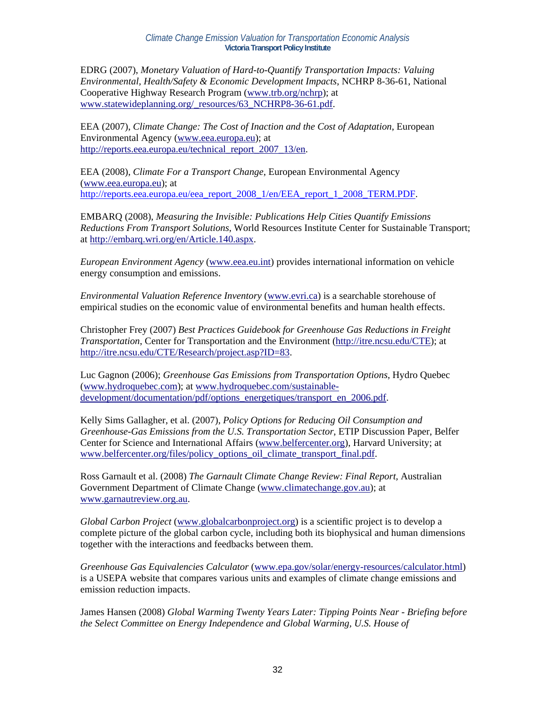EDRG (2007), *Monetary Valuation of Hard-to-Quantify Transportation Impacts: Valuing Environmental, Health/Safety & Economic Development Impacts*, NCHRP 8-36-61, National Cooperative Highway Research Program (www.trb.org/nchrp); at www.statewideplanning.org/\_resources/63\_NCHRP8-36-61.pdf.

EEA (2007), *Climate Change: The Cost of Inaction and the Cost of Adaptation*, European Environmental Agency (www.eea.europa.eu); at http://reports.eea.europa.eu/technical\_report\_2007\_13/en.

EEA (2008), *Climate For a Transport Change*, European Environmental Agency (www.eea.europa.eu); at http://reports.eea.europa.eu/eea\_report\_2008\_1/en/EEA\_report\_1\_2008\_TERM.PDF.

EMBARQ (2008), *Measuring the Invisible: Publications Help Cities Quantify Emissions Reductions From Transport Solutions*, World Resources Institute Center for Sustainable Transport; at http://embarq.wri.org/en/Article.140.aspx.

*European Environment Agency* (www.eea.eu.int) provides international information on vehicle energy consumption and emissions.

*Environmental Valuation Reference Inventory* (www.evri.ca) is a searchable storehouse of empirical studies on the economic value of environmental benefits and human health effects.

Christopher Frey (2007) *Best Practices Guidebook for Greenhouse Gas Reductions in Freight Transportation*, Center for Transportation and the Environment (http://itre.ncsu.edu/CTE); at http://itre.ncsu.edu/CTE/Research/project.asp?ID=83.

Luc Gagnon (2006); *Greenhouse Gas Emissions from Transportation Options*, Hydro Quebec (www.hydroquebec.com); at www.hydroquebec.com/sustainabledevelopment/documentation/pdf/options\_energetiques/transport\_en\_2006.pdf.

Kelly Sims Gallagher, et al. (2007), *Policy Options for Reducing Oil Consumption and Greenhouse-Gas Emissions from the U.S. Transportation Sector*, ETIP Discussion Paper, Belfer Center for Science and International Affairs (www.belfercenter.org), Harvard University; at www.belfercenter.org/files/policy\_options\_oil\_climate\_transport\_final.pdf.

Ross Garnault et al. (2008) *The Garnault Climate Change Review: Final Report,* Australian Government Department of Climate Change (www.climatechange.gov.au); at www.garnautreview.org.au.

*Global Carbon Project* (www.globalcarbonproject.org) is a scientific project is to develop a complete picture of the global carbon cycle, including both its biophysical and human dimensions together with the interactions and feedbacks between them.

*Greenhouse Gas Equivalencies Calculator* (www.epa.gov/solar/energy-resources/calculator.html) is a USEPA website that compares various units and examples of climate change emissions and emission reduction impacts.

James Hansen (2008) *Global Warming Twenty Years Later: Tipping Points Near - Briefing before the Select Committee on Energy Independence and Global Warming, U.S. House of*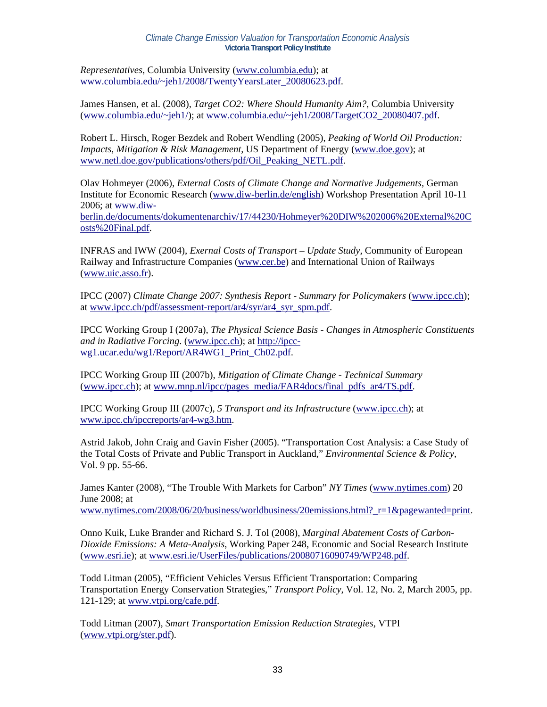*Representatives*, Columbia University (www.columbia.edu); at www.columbia.edu/~jeh1/2008/TwentyYearsLater\_20080623.pdf.

James Hansen, et al. (2008), *Target CO2: Where Should Humanity Aim?*, Columbia University (www.columbia.edu/~jeh1/); at www.columbia.edu/~jeh1/2008/TargetCO2 20080407.pdf.

Robert L. Hirsch, Roger Bezdek and Robert Wendling (2005), *Peaking of World Oil Production: Impacts, Mitigation & Risk Management*, US Department of Energy (www.doe.gov); at www.netl.doe.gov/publications/others/pdf/Oil\_Peaking\_NETL.pdf.

Olav Hohmeyer (2006), *External Costs of Climate Change and Normative Judgements,* German Institute for Economic Research (www.diw-berlin.de/english) Workshop Presentation April 10-11 2006; at www.diw-

berlin.de/documents/dokumentenarchiv/17/44230/Hohmeyer%20DIW%202006%20External%20C osts%20Final.pdf.

INFRAS and IWW (2004), *Exernal Costs of Transport – Update Study*, Community of European Railway and Infrastructure Companies (www.cer.be) and International Union of Railways (www.uic.asso.fr).

IPCC (2007) *Climate Change 2007: Synthesis Report - Summary for Policymakers* (www.ipcc.ch); at www.ipcc.ch/pdf/assessment-report/ar4/syr/ar4\_syr\_spm.pdf.

IPCC Working Group I (2007a), *The Physical Science Basis - Changes in Atmospheric Constituents and in Radiative Forcing*. (www.ipcc.ch); at http://ipccwg1.ucar.edu/wg1/Report/AR4WG1\_Print\_Ch02.pdf.

IPCC Working Group III (2007b), *Mitigation of Climate Change - Technical Summary* (www.ipcc.ch); at www.mnp.nl/ipcc/pages\_media/FAR4docs/final\_pdfs\_ar4/TS.pdf.

IPCC Working Group III (2007c), *5 Transport and its Infrastructure* (www.ipcc.ch); at www.ipcc.ch/ipccreports/ar4-wg3.htm.

Astrid Jakob, John Craig and Gavin Fisher (2005). "Transportation Cost Analysis: a Case Study of the Total Costs of Private and Public Transport in Auckland," *Environmental Science & Policy*, Vol. 9 pp. 55-66.

James Kanter (2008), "The Trouble With Markets for Carbon" *NY Times* (www.nytimes.com) 20 June 2008; at

www.nytimes.com/2008/06/20/business/worldbusiness/20emissions.html?\_r=1&pagewanted=print.

Onno Kuik, Luke Brander and Richard S. J. Tol (2008), *Marginal Abatement Costs of Carbon-Dioxide Emissions: A Meta-Analysis*, Working Paper 248, Economic and Social Research Institute (www.esri.ie); at www.esri.ie/UserFiles/publications/20080716090749/WP248.pdf.

Todd Litman (2005), "Efficient Vehicles Versus Efficient Transportation: Comparing Transportation Energy Conservation Strategies," *Transport Policy*, Vol. 12, No. 2, March 2005, pp. 121-129; at www.vtpi.org/cafe.pdf.

Todd Litman (2007), *Smart Transportation Emission Reduction Strategies*, VTPI (www.vtpi.org/ster.pdf).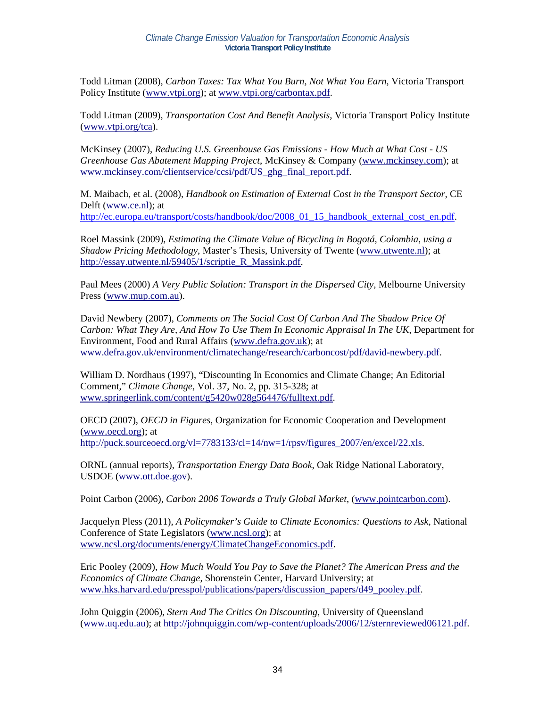Todd Litman (2008), *Carbon Taxes: Tax What You Burn, Not What You Earn*, Victoria Transport Policy Institute (www.vtpi.org); at www.vtpi.org/carbontax.pdf.

Todd Litman (2009), *Transportation Cost And Benefit Analysis*, Victoria Transport Policy Institute (www.vtpi.org/tca).

McKinsey (2007), *Reducing U.S. Greenhouse Gas Emissions - How Much at What Cost - US Greenhouse Gas Abatement Mapping Project*, McKinsey & Company (www.mckinsey.com); at www.mckinsey.com/clientservice/ccsi/pdf/US\_ghg\_final\_report.pdf.

M. Maibach, et al. (2008), *Handbook on Estimation of External Cost in the Transport Sector,* CE Delft (www.ce.nl); at http://ec.europa.eu/transport/costs/handbook/doc/2008\_01\_15\_handbook\_external\_cost\_en.pdf.

Roel Massink (2009), *Estimating the Climate Value of Bicycling in Bogotá, Colombia, using a Shadow Pricing Methodology*, Master's Thesis, University of Twente (www.utwente.nl); at http://essay.utwente.nl/59405/1/scriptie R Massink.pdf.

Paul Mees (2000) *A Very Public Solution: Transport in the Dispersed City,* Melbourne University Press (www.mup.com.au).

David Newbery (2007), *Comments on The Social Cost Of Carbon And The Shadow Price Of Carbon: What They Are, And How To Use Them In Economic Appraisal In The UK*, Department for Environment, Food and Rural Affairs (www.defra.gov.uk); at www.defra.gov.uk/environment/climatechange/research/carboncost/pdf/david-newbery.pdf.

William D. Nordhaus (1997), "Discounting In Economics and Climate Change; An Editorial Comment," *Climate Change*, Vol. 37, No. 2, pp. 315-328; at www.springerlink.com/content/g5420w028g564476/fulltext.pdf.

OECD (2007), *OECD in Figures*, Organization for Economic Cooperation and Development (www.oecd.org); at http://puck.sourceoecd.org/vl=7783133/cl=14/nw=1/rpsv/figures\_2007/en/excel/22.xls.

ORNL (annual reports), *Transportation Energy Data Book*, Oak Ridge National Laboratory, USDOE (www.ott.doe.gov).

Point Carbon (2006), *Carbon 2006 Towards a Truly Global Market*, (www.pointcarbon.com).

Jacquelyn Pless (2011), *A Policymaker's Guide to Climate Economics: Questions to Ask*, National Conference of State Legislators (www.ncsl.org); at www.ncsl.org/documents/energy/ClimateChangeEconomics.pdf.

Eric Pooley (2009), *How Much Would You Pay to Save the Planet? The American Press and the Economics of Climate Change*, Shorenstein Center, Harvard University; at www.hks.harvard.edu/presspol/publications/papers/discussion\_papers/d49\_pooley.pdf.

John Quiggin (2006), *Stern And The Critics On Discounting,* University of Queensland (www.uq.edu.au); at http://johnquiggin.com/wp-content/uploads/2006/12/sternreviewed06121.pdf.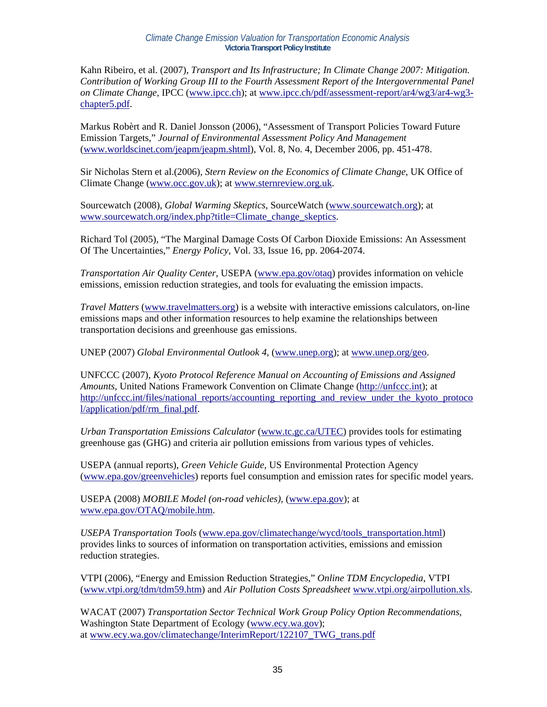Kahn Ribeiro, et al. (2007), *Transport and Its Infrastructure; In Climate Change 2007: Mitigation. Contribution of Working Group III to the Fourth Assessment Report of the Intergovernmental Panel on Climate Change*, IPCC (www.ipcc.ch); at www.ipcc.ch/pdf/assessment-report/ar4/wg3/ar4-wg3 chapter5.pdf.

Markus Robèrt and R. Daniel Jonsson (2006), "Assessment of Transport Policies Toward Future Emission Targets," *Journal of Environmental Assessment Policy And Management* (www.worldscinet.com/jeapm/jeapm.shtml), Vol. 8, No. 4, December 2006, pp. 451-478.

Sir Nicholas Stern et al.(2006), *Stern Review on the Economics of Climate Change*, UK Office of Climate Change (www.occ.gov.uk); at www.sternreview.org.uk.

Sourcewatch (2008), *Global Warming Skeptics*, SourceWatch (www.sourcewatch.org); at www.sourcewatch.org/index.php?title=Climate\_change\_skeptics.

Richard Tol (2005), "The Marginal Damage Costs Of Carbon Dioxide Emissions: An Assessment Of The Uncertainties," *Energy Policy*, Vol. 33, Issue 16, pp. 2064-2074.

*Transportation Air Quality Center*, USEPA (www.epa.gov/otaq) provides information on vehicle emissions, emission reduction strategies, and tools for evaluating the emission impacts.

*Travel Matters* (www.travelmatters.org) is a website with interactive emissions calculators, on-line emissions maps and other information resources to help examine the relationships between transportation decisions and greenhouse gas emissions.

UNEP (2007) *Global Environmental Outlook 4*, (www.unep.org); at www.unep.org/geo.

UNFCCC (2007), *Kyoto Protocol Reference Manual on Accounting of Emissions and Assigned Amounts*, United Nations Framework Convention on Climate Change (http://unfccc.int); at http://unfccc.int/files/national\_reports/accounting\_reporting\_and\_review\_under\_the\_kyoto\_protoco l/application/pdf/rm\_final.pdf.

*Urban Transportation Emissions Calculator* (www.tc.gc.ca/UTEC) provides tools for estimating greenhouse gas (GHG) and criteria air pollution emissions from various types of vehicles.

USEPA (annual reports), *Green Vehicle Guide*, US Environmental Protection Agency (www.epa.gov/greenvehicles) reports fuel consumption and emission rates for specific model years.

USEPA (2008) *MOBILE Model (on-road vehicles),* (www.epa.gov); at www.epa.gov/OTAQ/mobile.htm.

*USEPA Transportation Tools* (www.epa.gov/climatechange/wycd/tools\_transportation.html) provides links to sources of information on transportation activities, emissions and emission reduction strategies.

VTPI (2006), "Energy and Emission Reduction Strategies," *Online TDM Encyclopedia*, VTPI (www.vtpi.org/tdm/tdm59.htm) and *Air Pollution Costs Spreadsheet* www.vtpi.org/airpollution.xls.

WACAT (2007) *Transportation Sector Technical Work Group Policy Option Recommendations*, Washington State Department of Ecology (www.ecy.wa.gov); at www.ecy.wa.gov/climatechange/InterimReport/122107\_TWG\_trans.pdf